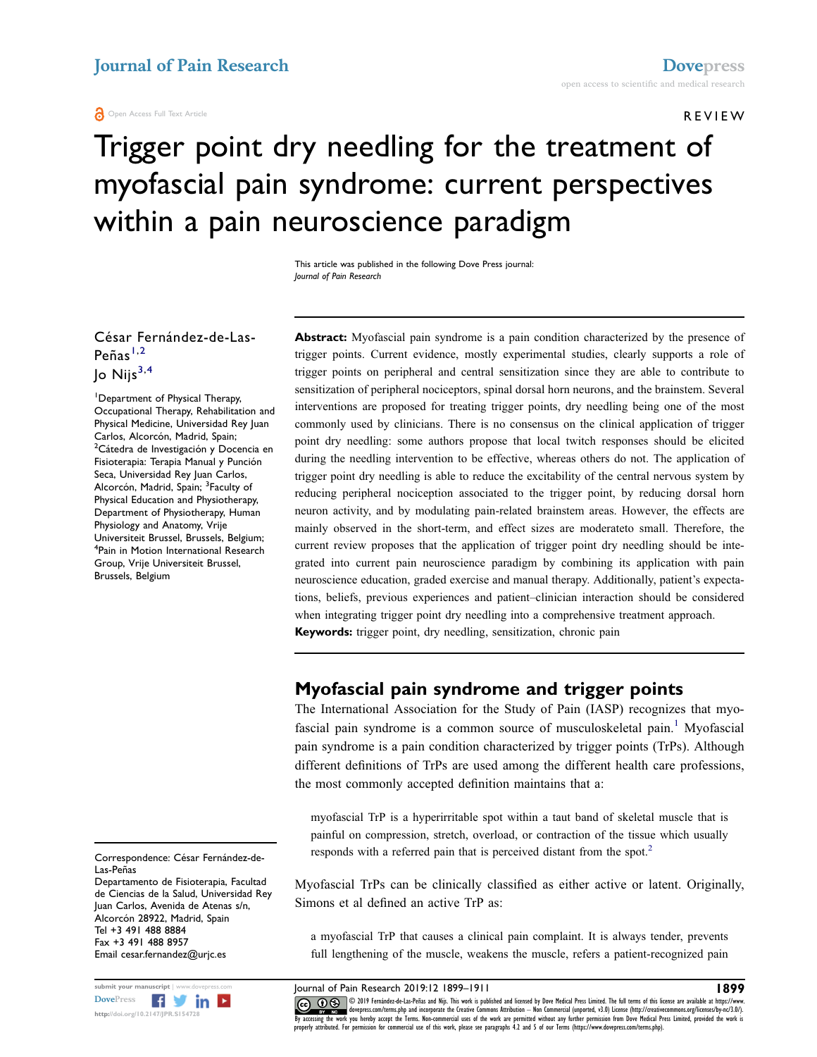#### REVIEW

# Trigger point dry needling for the treatment of myofascial pain syndrome: current perspectives within a pain neuroscience paradigm

This article was published in the following Dove Press journal: Journal of Pain Research

#### César Fernández-de-Las- $Peñas^{1,2}$  $Peñas^{1,2}$  $Peñas^{1,2}$  $Peñas^{1,2}$  $|$ o Nijs $^{3,4}$  $^{3,4}$  $^{3,4}$  $^{3,4}$

<span id="page-0-3"></span><span id="page-0-2"></span><span id="page-0-1"></span><span id="page-0-0"></span>1 Department of Physical Therapy, Occupational Therapy, Rehabilitation and Physical Medicine, Universidad Rey Juan Carlos, Alcorcón, Madrid, Spain; <sup>2</sup>Cátedra de Investigación y Docencia en Fisioterapia: Terapia Manual y Punción Seca, Universidad Rey Juan Carlos, Alcorcón, Madrid, Spain; <sup>3</sup>Faculty of Physical Education and Physiotherapy, Department of Physiotherapy, Human Physiology and Anatomy, Vrije Universiteit Brussel, Brussels, Belgium; 4 Pain in Motion International Research Group, Vrije Universiteit Brussel, Brussels, Belgium

Departamento de Fisioterapia, Facultad de Ciencias de la Salud, Universidad Rey Juan Carlos, Avenida de Atenas s/n, Alcorcón 28922, Madrid, Spain Tel +3 491 488 8884 Fax +3 491 488 8957 Email cesar.fernandez@urjc.es



Abstract: Myofascial pain syndrome is a pain condition characterized by the presence of trigger points. Current evidence, mostly experimental studies, clearly supports a role of trigger points on peripheral and central sensitization since they are able to contribute to sensitization of peripheral nociceptors, spinal dorsal horn neurons, and the brainstem. Several interventions are proposed for treating trigger points, dry needling being one of the most commonly used by clinicians. There is no consensus on the clinical application of trigger point dry needling: some authors propose that local twitch responses should be elicited during the needling intervention to be effective, whereas others do not. The application of trigger point dry needling is able to reduce the excitability of the central nervous system by reducing peripheral nociception associated to the trigger point, by reducing dorsal horn neuron activity, and by modulating pain-related brainstem areas. However, the effects are mainly observed in the short-term, and effect sizes are moderateto small. Therefore, the current review proposes that the application of trigger point dry needling should be integrated into current pain neuroscience paradigm by combining its application with pain neuroscience education, graded exercise and manual therapy. Additionally, patient's expectations, beliefs, previous experiences and patient–clinician interaction should be considered when integrating trigger point dry needling into a comprehensive treatment approach. Keywords: trigger point, dry needling, sensitization, chronic pain

#### Myofascial pain syndrome and trigger points

<span id="page-0-4"></span>The International Association for the Study of Pain (IASP) recognizes that myo-fascial pain syndrome is a common source of musculoskeletal pain.<sup>[1](#page-8-0)</sup> Myofascial pain syndrome is a pain condition characterized by trigger points (TrPs). Although different definitions of TrPs are used among the different health care professions, the most commonly accepted definition maintains that a:

<span id="page-0-5"></span>myofascial TrP is a hyperirritable spot within a taut band of skeletal muscle that is painful on compression, stretch, overload, or contraction of the tissue which usually responds with a referred pain that is perceived distant from the spot.<sup>[2](#page-8-1)</sup>

Myofascial TrPs can be clinically classified as either active or latent. Originally, Simons et al defined an active TrP as:

a myofascial TrP that causes a clinical pain complaint. It is always tender, prevents full lengthening of the muscle, weakens the muscle, refers a patient-recognized pain

submit your manuscript | www.dovepress.com Journal of Pain Research 2019:12 1899–1911 1899 [DovePress](http://www.dovepress.com) © 2019 Fernández-de-Las-Peñas and Nijs. This work is published and licensed by Dove Medical Press Limited. The full terms of this license are available at https://www. We ask asked to express.com/terms.php and incorporate the Creative Commons Attribution — Non Commercial (unported, v3.0) License (http://creativecommons.org/licenses/by-nc/3.0/).<br>By accessing the work you hereby accept the properly attributed. For permission for commercial use of this work, please see paragraphs 4.2 and 5 of our Terms (https://www.dovepress.com/terms.php).

Correspondence: César Fernández-de-Las-Peñas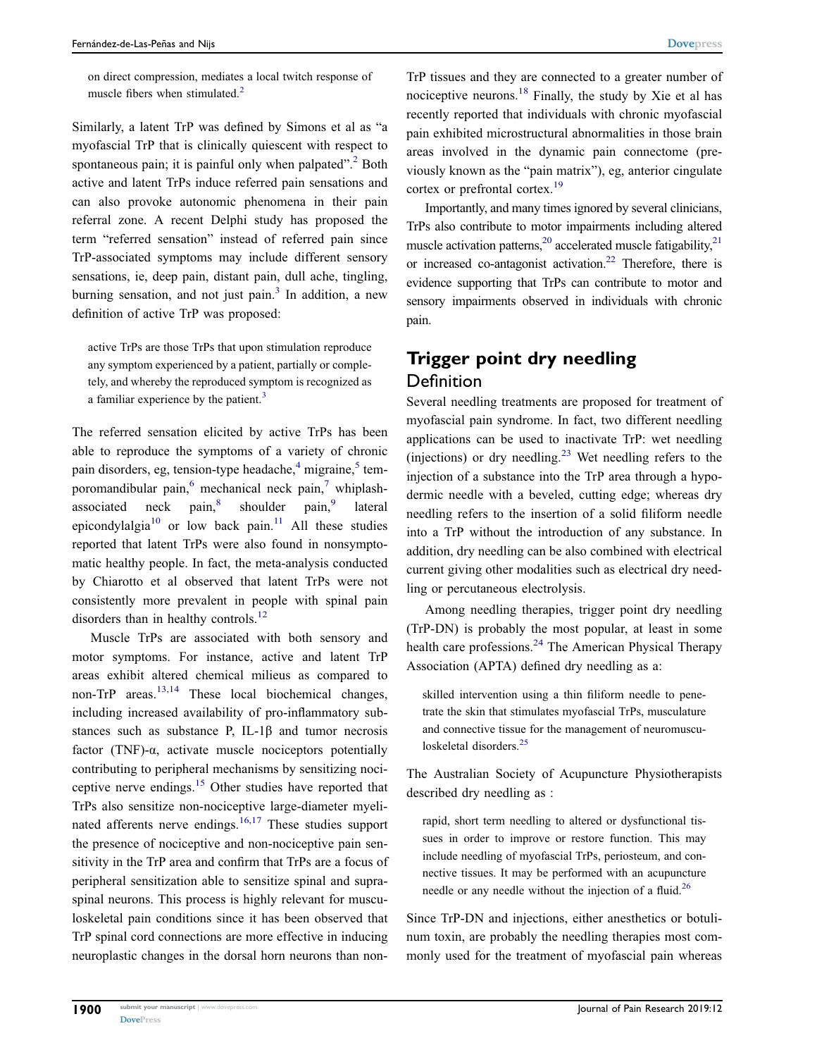on direct compression, mediates a local twitch response of muscle fibers when stimulated.<sup>[2](#page-8-1)</sup>

Similarly, a latent TrP was defined by Simons et al as "a myofascial TrP that is clinically quiescent with respect to spontaneous pain; it is painful only when palpated".<sup>[2](#page-8-1)</sup> Both active and latent TrPs induce referred pain sensations and can also provoke autonomic phenomena in their pain referral zone. A recent Delphi study has proposed the term "referred sensation" instead of referred pain since TrP-associated symptoms may include different sensory sensations, ie, deep pain, distant pain, dull ache, tingling, burning sensation, and not just pain. $3 \text{ In addition, a new}$  $3 \text{ In addition, a new}$ definition of active TrP was proposed:

<span id="page-1-0"></span>active TrPs are those TrPs that upon stimulation reproduce any symptom experienced by a patient, partially or completely, and whereby the reproduced symptom is recognized as a familiar experience by the patient.<sup>[3](#page-8-2)</sup>

<span id="page-1-4"></span><span id="page-1-3"></span><span id="page-1-2"></span><span id="page-1-1"></span>The referred sensation elicited by active TrPs has been able to reproduce the symptoms of a variety of chronic pain disorders, eg, tension-type headache,<sup>[4](#page-8-3)</sup> migraine,<sup>[5](#page-8-4)</sup> temporomandibular pain, $6 \text{ mechanical neck pain}$  $6 \text{ mechanical neck pain}$ , whiplashassociated neck pain, $8$  shoulder pain, $9$  lateral epicondylalgia<sup>[10](#page-8-9)</sup> or low back pain.<sup>[11](#page-9-0)</sup> All these studies reported that latent TrPs were also found in nonsymptomatic healthy people. In fact, the meta-analysis conducted by Chiarotto et al observed that latent TrPs were not consistently more prevalent in people with spinal pain disorders than in healthy controls.<sup>[12](#page-9-1)</sup>

<span id="page-1-8"></span><span id="page-1-7"></span><span id="page-1-6"></span><span id="page-1-5"></span>Muscle TrPs are associated with both sensory and motor symptoms. For instance, active and latent TrP areas exhibit altered chemical milieus as compared to non-TrP areas.<sup>[13,](#page-9-2)[14](#page-9-3)</sup> These local biochemical changes, including increased availability of pro-inflammatory substances such as substance P, IL-1β and tumor necrosis factor (TNF)- $\alpha$ , activate muscle nociceptors potentially contributing to peripheral mechanisms by sensitizing nociceptive nerve endings.[15](#page-9-4) Other studies have reported that TrPs also sensitize non-nociceptive large-diameter myelinated afferents nerve endings. $16,17$  $16,17$  These studies support the presence of nociceptive and non-nociceptive pain sensitivity in the TrP area and confirm that TrPs are a focus of peripheral sensitization able to sensitize spinal and supraspinal neurons. This process is highly relevant for musculoskeletal pain conditions since it has been observed that TrP spinal cord connections are more effective in inducing neuroplastic changes in the dorsal horn neurons than non-

<span id="page-1-9"></span>TrP tissues and they are connected to a greater number of nociceptive neurons.[18](#page-9-7) Finally, the study by Xie et al has recently reported that individuals with chronic myofascial pain exhibited microstructural abnormalities in those brain areas involved in the dynamic pain connectome (previously known as the "pain matrix"), eg, anterior cingulate cortex or prefrontal cortex.<sup>[19](#page-9-8)</sup>

<span id="page-1-12"></span><span id="page-1-11"></span><span id="page-1-10"></span>Importantly, and many times ignored by several clinicians, TrPs also contribute to motor impairments including altered muscle activation patterns,<sup>[20](#page-9-9)</sup> accelerated muscle fatigability,<sup>21</sup> or increased co-antagonist activation.<sup>22</sup> Therefore, there is evidence supporting that TrPs can contribute to motor and sensory impairments observed in individuals with chronic pain.

# Trigger point dry needling **Definition**

<span id="page-1-13"></span>Several needling treatments are proposed for treatment of myofascial pain syndrome. In fact, two different needling applications can be used to inactivate TrP: wet needling (injections) or dry needling.<sup>[23](#page-9-12)</sup> Wet needling refers to the injection of a substance into the TrP area through a hypodermic needle with a beveled, cutting edge; whereas dry needling refers to the insertion of a solid filiform needle into a TrP without the introduction of any substance. In addition, dry needling can be also combined with electrical current giving other modalities such as electrical dry needling or percutaneous electrolysis.

<span id="page-1-14"></span>Among needling therapies, trigger point dry needling (TrP-DN) is probably the most popular, at least in some health care professions.<sup>[24](#page-9-13)</sup> The American Physical Therapy Association (APTA) defined dry needling as a:

skilled intervention using a thin filiform needle to penetrate the skin that stimulates myofascial TrPs, musculature and connective tissue for the management of neuromuscu-loskeletal disorders.<sup>[25](#page-9-14)</sup>

<span id="page-1-15"></span>The Australian Society of Acupuncture Physiotherapists described dry needling as :

rapid, short term needling to altered or dysfunctional tissues in order to improve or restore function. This may include needling of myofascial TrPs, periosteum, and connective tissues. It may be performed with an acupuncture needle or any needle without the injection of a fluid.[26](#page-9-15)

<span id="page-1-16"></span>Since TrP-DN and injections, either anesthetics or botulinum toxin, are probably the needling therapies most commonly used for the treatment of myofascial pain whereas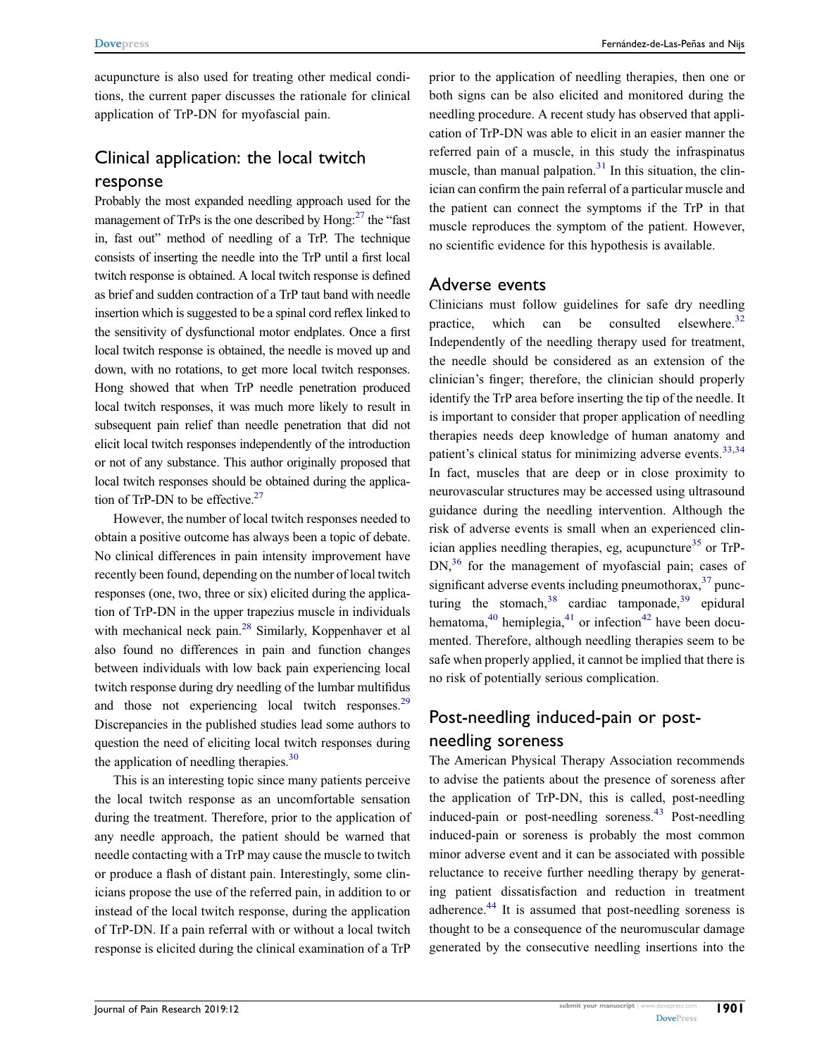[Dovepress](http://www.dovepress.com) Fernández-de-Las-Peñas and Nijs

acupuncture is also used for treating other medical conditions, the current paper discusses the rationale for clinical application of TrP-DN for myofascial pain.

# Clinical application: the local twitch response

Probably the most expanded needling approach used for the management of TrPs is the one described by Hong:<sup>[27](#page-9-16)</sup> the "fast in, fast out" method of needling of a TrP. The technique consists of inserting the needle into the TrP until a first local twitch response is obtained. A local twitch response is defined as brief and sudden contraction of a TrP taut band with needle insertion which is suggested to be a spinal cord reflex linked to the sensitivity of dysfunctional motor endplates. Once a first local twitch response is obtained, the needle is moved up and down, with no rotations, to get more local twitch responses. Hong showed that when TrP needle penetration produced local twitch responses, it was much more likely to result in subsequent pain relief than needle penetration that did not elicit local twitch responses independently of the introduction or not of any substance. This author originally proposed that local twitch responses should be obtained during the application of TrP-DN to be effective.<sup>27</sup>

<span id="page-2-1"></span><span id="page-2-0"></span>However, the number of local twitch responses needed to obtain a positive outcome has always been a topic of debate. No clinical differences in pain intensity improvement have recently been found, depending on the number of local twitch responses (one, two, three or six) elicited during the application of TrP-DN in the upper trapezius muscle in individuals with mechanical neck pain.<sup>28</sup> Similarly, Koppenhaver et al also found no differences in pain and function changes between individuals with low back pain experiencing local twitch response during dry needling of the lumbar multifidus and those not experiencing local twitch responses.<sup>29</sup> Discrepancies in the published studies lead some authors to question the need of eliciting local twitch responses during the application of needling therapies. $30$ 

<span id="page-2-3"></span><span id="page-2-2"></span>This is an interesting topic since many patients perceive the local twitch response as an uncomfortable sensation during the treatment. Therefore, prior to the application of any needle approach, the patient should be warned that needle contacting with a TrP may cause the muscle to twitch or produce a flash of distant pain. Interestingly, some clinicians propose the use of the referred pain, in addition to or instead of the local twitch response, during the application of TrP-DN. If a pain referral with or without a local twitch response is elicited during the clinical examination of a TrP

<span id="page-2-4"></span>prior to the application of needling therapies, then one or both signs can be also elicited and monitored during the needling procedure. A recent study has observed that application of TrP-DN was able to elicit in an easier manner the referred pain of a muscle, in this study the infraspinatus muscle, than manual palpation. $31$  In this situation, the clinician can confirm the pain referral of a particular muscle and the patient can connect the symptoms if the TrP in that muscle reproduces the symptom of the patient. However, no scientific evidence for this hypothesis is available.

#### Adverse events

<span id="page-2-6"></span><span id="page-2-5"></span>Clinicians must follow guidelines for safe dry needling practice, which can be consulted elsewhere. $32$ Independently of the needling therapy used for treatment, the needle should be considered as an extension of the clinician's finger; therefore, the clinician should properly identify the TrP area before inserting the tip of the needle. It is important to consider that proper application of needling therapies needs deep knowledge of human anatomy and patient's clinical status for minimizing adverse events.<sup>[33](#page-9-22),[34](#page-9-23)</sup> In fact, muscles that are deep or in close proximity to neurovascular structures may be accessed using ultrasound guidance during the needling intervention. Although the risk of adverse events is small when an experienced clin-ician applies needling therapies, eg, acupuncture<sup>[35](#page-9-24)</sup> or TrP-DN,<sup>[36](#page-9-25)</sup> for the management of myofascial pain; cases of significant adverse events including pneumothorax,  $37$  puncturing the stomach,  $38$  cardiac tamponade,  $39$  epidural hematoma,<sup>[40](#page-9-29)</sup> hemiplegia,<sup>[41](#page-9-30)</sup> or infection<sup>[42](#page-9-31)</sup> have been documented. Therefore, although needling therapies seem to be safe when properly applied, it cannot be implied that there is no risk of potentially serious complication.

# <span id="page-2-11"></span><span id="page-2-10"></span><span id="page-2-9"></span><span id="page-2-8"></span><span id="page-2-7"></span>Post-needling induced-pain or postneedling soreness

<span id="page-2-14"></span><span id="page-2-13"></span><span id="page-2-12"></span>The American Physical Therapy Association recommends to advise the patients about the presence of soreness after the application of TrP-DN, this is called, post-needling induced-pain or post-needling soreness.<sup>[43](#page-9-32)</sup> Post-needling induced-pain or soreness is probably the most common minor adverse event and it can be associated with possible reluctance to receive further needling therapy by generating patient dissatisfaction and reduction in treatment adherence.<sup>[44](#page-9-33)</sup> It is assumed that post-needling soreness is thought to be a consequence of the neuromuscular damage generated by the consecutive needling insertions into the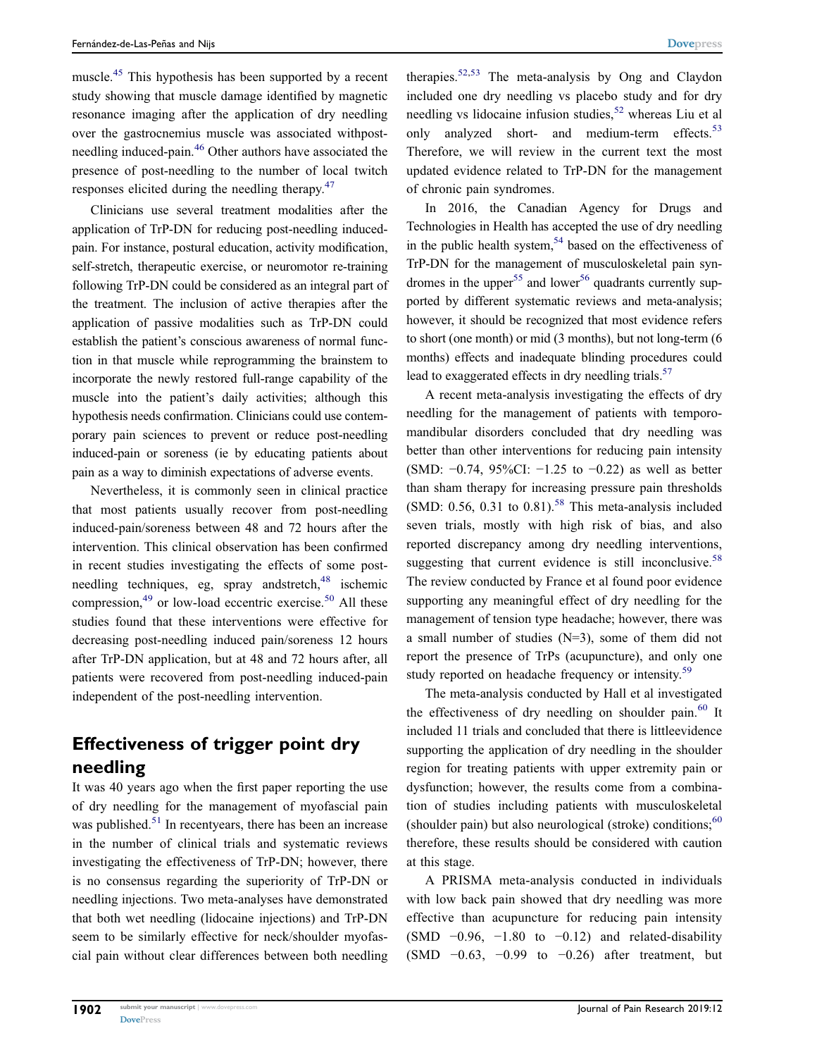muscle.[45](#page-10-0) This hypothesis has been supported by a recent study showing that muscle damage identified by magnetic resonance imaging after the application of dry needling over the gastrocnemius muscle was associated withpost-needling induced-pain.<sup>[46](#page-10-1)</sup> Other authors have associated the presence of post-needling to the number of local twitch responses elicited during the needling therapy.<sup>47</sup>

<span id="page-3-1"></span><span id="page-3-0"></span>Clinicians use several treatment modalities after the application of TrP-DN for reducing post-needling inducedpain. For instance, postural education, activity modification, self-stretch, therapeutic exercise, or neuromotor re-training following TrP-DN could be considered as an integral part of the treatment. The inclusion of active therapies after the application of passive modalities such as TrP-DN could establish the patient's conscious awareness of normal function in that muscle while reprogramming the brainstem to incorporate the newly restored full-range capability of the muscle into the patient's daily activities; although this hypothesis needs confirmation. Clinicians could use contemporary pain sciences to prevent or reduce post-needling induced-pain or soreness (ie by educating patients about pain as a way to diminish expectations of adverse events.

<span id="page-3-3"></span><span id="page-3-2"></span>Nevertheless, it is commonly seen in clinical practice that most patients usually recover from post-needling induced-pain/soreness between 48 and 72 hours after the intervention. This clinical observation has been confirmed in recent studies investigating the effects of some postneedling techniques, eg, spray and stretch,  $48$  ischemic compression, $49$  or low-load eccentric exercise.<sup>[50](#page-10-5)</sup> All these studies found that these interventions were effective for decreasing post-needling induced pain/soreness 12 hours after TrP-DN application, but at 48 and 72 hours after, all patients were recovered from post-needling induced-pain independent of the post-needling intervention.

### Effectiveness of trigger point dry needling

<span id="page-3-4"></span>It was 40 years ago when the first paper reporting the use of dry needling for the management of myofascial pain was published.<sup>[51](#page-10-6)</sup> In recentyears, there has been an increase in the number of clinical trials and systematic reviews investigating the effectiveness of TrP-DN; however, there is no consensus regarding the superiority of TrP-DN or needling injections. Two meta-analyses have demonstrated that both wet needling (lidocaine injections) and TrP-DN seem to be similarly effective for neck/shoulder myofascial pain without clear differences between both needling

<span id="page-3-6"></span><span id="page-3-5"></span>therapies.<sup>52,[53](#page-10-8)</sup> The meta-analysis by Ong and Claydon included one dry needling vs placebo study and for dry needling vs lidocaine infusion studies,<sup>[52](#page-10-7)</sup> whereas Liu et al only analyzed short- and medium-term effects.<sup>[53](#page-10-8)</sup> Therefore, we will review in the current text the most updated evidence related to TrP-DN for the management of chronic pain syndromes.

<span id="page-3-8"></span><span id="page-3-7"></span>In 2016, the Canadian Agency for Drugs and Technologies in Health has accepted the use of dry needling in the public health system,  $54$  based on the effectiveness of TrP-DN for the management of musculoskeletal pain syn-dromes in the upper<sup>[55](#page-10-10)</sup> and lower<sup>[56](#page-10-11)</sup> quadrants currently supported by different systematic reviews and meta-analysis; however, it should be recognized that most evidence refers to short (one month) or mid (3 months), but not long-term (6 months) effects and inadequate blinding procedures could lead to exaggerated effects in dry needling trials.<sup>[57](#page-10-12)</sup>

<span id="page-3-9"></span>A recent meta-analysis investigating the effects of dry needling for the management of patients with temporomandibular disorders concluded that dry needling was better than other interventions for reducing pain intensity (SMD:  $-0.74$ , 95%CI:  $-1.25$  to  $-0.22$ ) as well as better than sham therapy for increasing pressure pain thresholds (SMD:  $0.56$ ,  $0.31$  to  $0.81$ ).<sup>[58](#page-10-13)</sup> This meta-analysis included seven trials, mostly with high risk of bias, and also reported discrepancy among dry needling interventions, suggesting that current evidence is still inconclusive.<sup>[58](#page-10-13)</sup> The review conducted by France et al found poor evidence supporting any meaningful effect of dry needling for the management of tension type headache; however, there was a small number of studies (N=3), some of them did not report the presence of TrPs (acupuncture), and only one study reported on headache frequency or intensity.<sup>59</sup>

<span id="page-3-10"></span>The meta-analysis conducted by Hall et al investigated the effectiveness of dry needling on shoulder pain. $60$  It included 11 trials and concluded that there is littleevidence supporting the application of dry needling in the shoulder region for treating patients with upper extremity pain or dysfunction; however, the results come from a combination of studies including patients with musculoskeletal (shoulder pain) but also neurological (stroke) conditions; $60$ therefore, these results should be considered with caution at this stage.

<span id="page-3-11"></span>A PRISMA meta-analysis conducted in individuals with low back pain showed that dry needling was more effective than acupuncture for reducing pain intensity (SMD  $-0.96$ ,  $-1.80$  to  $-0.12$ ) and related-disability (SMD  $-0.63$ ,  $-0.99$  to  $-0.26$ ) after treatment, but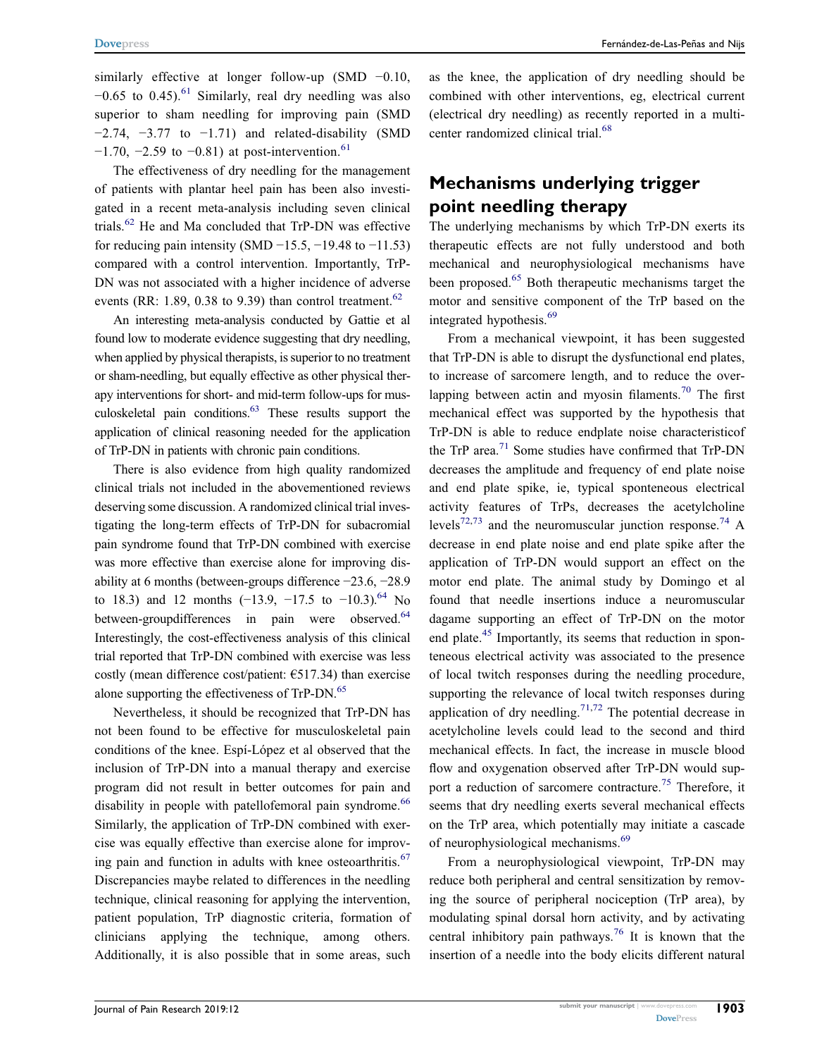similarly effective at longer follow-up (SMD −0.10,  $-0.65$  to 0.45).<sup>[61](#page-10-16)</sup> Similarly, real dry needling was also superior to sham needling for improving pain (SMD  $-2.74$ ,  $-3.77$  to  $-1.71$ ) and related-disability (SMD  $-1.70, -2.59$  to  $-0.81$ ) at post-intervention.<sup>[61](#page-10-16)</sup>

<span id="page-4-0"></span>The effectiveness of dry needling for the management of patients with plantar heel pain has been also investigated in a recent meta-analysis including seven clinical trials.[62](#page-10-17) He and Ma concluded that TrP-DN was effective for reducing pain intensity (SMD  $-15.5$ ,  $-19.48$  to  $-11.53$ ) compared with a control intervention. Importantly, TrP-DN was not associated with a higher incidence of adverse events (RR: 1.89, 0.38 to 9.39) than control treatment.<sup>[62](#page-10-17)</sup>

<span id="page-4-1"></span>An interesting meta-analysis conducted by Gattie et al found low to moderate evidence suggesting that dry needling, when applied by physical therapists, is superior to no treatment or sham-needling, but equally effective as other physical therapy interventions for short- and mid-term follow-ups for musculoskeletal pain conditions[.63](#page-10-18) These results support the application of clinical reasoning needed for the application of TrP-DN in patients with chronic pain conditions.

<span id="page-4-2"></span>There is also evidence from high quality randomized clinical trials not included in the abovementioned reviews deserving some discussion. A randomized clinical trial investigating the long-term effects of TrP-DN for subacromial pain syndrome found that TrP-DN combined with exercise was more effective than exercise alone for improving disability at 6 months (between-groups difference −23.6, −28.9 to 18.3) and 12 months  $(-13.9, -17.5 \text{ to } -10.3)$ .<sup>[64](#page-10-19)</sup> No between-groupdifferences in pain were observed.<sup>64</sup> Interestingly, the cost-effectiveness analysis of this clinical trial reported that TrP-DN combined with exercise was less costly (mean difference cost/patient:  $E$ 517.34) than exercise alone supporting the effectiveness of TrP-DN.<sup>[65](#page-10-20)</sup>

<span id="page-4-6"></span><span id="page-4-5"></span><span id="page-4-3"></span>Nevertheless, it should be recognized that TrP-DN has not been found to be effective for musculoskeletal pain conditions of the knee. Espí-López et al observed that the inclusion of TrP-DN into a manual therapy and exercise program did not result in better outcomes for pain and disability in people with patellofemoral pain syndrome.<sup>66</sup> Similarly, the application of TrP-DN combined with exercise was equally effective than exercise alone for improv-ing pain and function in adults with knee osteoarthritis.<sup>[67](#page-10-22)</sup> Discrepancies maybe related to differences in the needling technique, clinical reasoning for applying the intervention, patient population, TrP diagnostic criteria, formation of clinicians applying the technique, among others. Additionally, it is also possible that in some areas, such

<span id="page-4-7"></span>as the knee, the application of dry needling should be combined with other interventions, eg, electrical current (electrical dry needling) as recently reported in a multi-center randomized clinical trial.<sup>[68](#page-10-23)</sup>

# Mechanisms underlying trigger point needling therapy

<span id="page-4-4"></span>The underlying mechanisms by which TrP-DN exerts its therapeutic effects are not fully understood and both mechanical and neurophysiological mechanisms have been proposed.<sup>[65](#page-10-20)</sup> Both therapeutic mechanisms target the motor and sensitive component of the TrP based on the integrated hypothesis.<sup>[69](#page-10-24)</sup>

<span id="page-4-11"></span><span id="page-4-9"></span>From a mechanical viewpoint, it has been suggested that TrP-DN is able to disrupt the dysfunctional end plates, to increase of sarcomere length, and to reduce the over-lapping between actin and myosin filaments.<sup>[70](#page-10-25)</sup> The first mechanical effect was supported by the hypothesis that TrP-DN is able to reduce endplate noise characteristicof the TrP area.<sup>71</sup> Some studies have confirmed that TrP-DN decreases the amplitude and frequency of end plate noise and end plate spike, ie, typical sponteneous electrical activity features of TrPs, decreases the acetylcholine levels<sup>[72,](#page-10-27)[73](#page-10-28)</sup> and the neuromuscular junction response.<sup>74</sup> A decrease in end plate noise and end plate spike after the application of TrP-DN would support an effect on the motor end plate. The animal study by Domingo et al found that needle insertions induce a neuromuscular dagame supporting an effect of TrP-DN on the motor end plate.<sup>[45](#page-10-0)</sup> Importantly, its seems that reduction in sponteneous electrical activity was associated to the presence of local twitch responses during the needling procedure, supporting the relevance of local twitch responses during application of dry needling.<sup>[71,](#page-10-26)[72](#page-10-27)</sup> The potential decrease in acetylcholine levels could lead to the second and third mechanical effects. In fact, the increase in muscle blood flow and oxygenation observed after TrP-DN would sup-port a reduction of sarcomere contracture.<sup>[75](#page-10-30)</sup> Therefore, it seems that dry needling exerts several mechanical effects on the TrP area, which potentially may initiate a cascade of neurophysiological mechanisms.<sup>[69](#page-10-24)</sup>

<span id="page-4-13"></span><span id="page-4-12"></span><span id="page-4-10"></span><span id="page-4-8"></span>From a neurophysiological viewpoint, TrP-DN may reduce both peripheral and central sensitization by removing the source of peripheral nociception (TrP area), by modulating spinal dorsal horn activity, and by activating central inhibitory pain pathways.<sup>[76](#page-10-31)</sup> It is known that the insertion of a needle into the body elicits different natural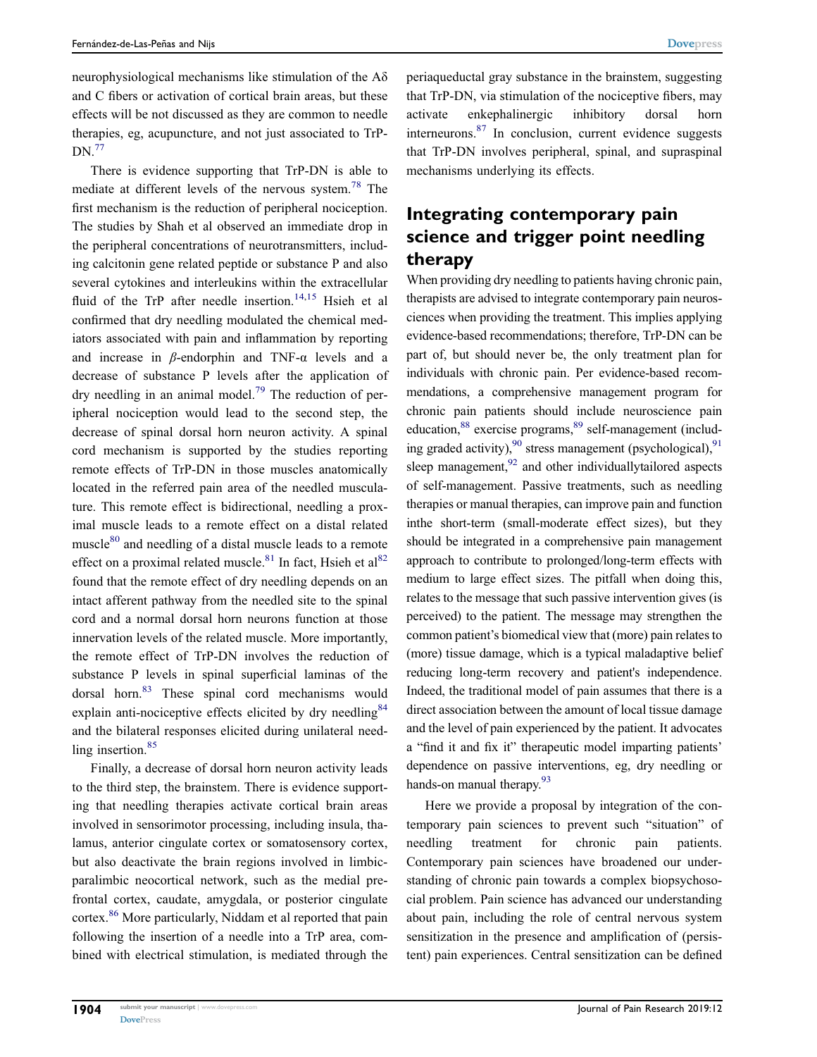neurophysiological mechanisms like stimulation of the Aδ and C fibers or activation of cortical brain areas, but these effects will be not discussed as they are common to needle therapies, eg, acupuncture, and not just associated to TrP-DN.[77](#page-11-0)

<span id="page-5-2"></span><span id="page-5-1"></span><span id="page-5-0"></span>There is evidence supporting that TrP-DN is able to mediate at different levels of the nervous system.<sup>[78](#page-11-1)</sup> The first mechanism is the reduction of peripheral nociception. The studies by Shah et al observed an immediate drop in the peripheral concentrations of neurotransmitters, including calcitonin gene related peptide or substance P and also several cytokines and interleukins within the extracellular fluid of the TrP after needle insertion.<sup>[14](#page-9-3),[15](#page-9-4)</sup> Hsieh et al confirmed that dry needling modulated the chemical mediators associated with pain and inflammation by reporting and increase in  $\beta$ -endorphin and TNF- $\alpha$  levels and a decrease of substance P levels after the application of dry needling in an animal model.<sup>[79](#page-11-2)</sup> The reduction of peripheral nociception would lead to the second step, the decrease of spinal dorsal horn neuron activity. A spinal cord mechanism is supported by the studies reporting remote effects of TrP-DN in those muscles anatomically located in the referred pain area of the needled musculature. This remote effect is bidirectional, needling a proximal muscle leads to a remote effect on a distal related muscle<sup>80</sup> and needling of a distal muscle leads to a remote effect on a proximal related muscle.<sup>[81](#page-11-4)</sup> In fact, Hsieh et al<sup>[82](#page-11-5)</sup> found that the remote effect of dry needling depends on an intact afferent pathway from the needled site to the spinal cord and a normal dorsal horn neurons function at those innervation levels of the related muscle. More importantly, the remote effect of TrP-DN involves the reduction of substance P levels in spinal superficial laminas of the dorsal horn.<sup>[83](#page-11-6)</sup> These spinal cord mechanisms would explain anti-nociceptive effects elicited by dry needling<sup>[84](#page-11-7)</sup> and the bilateral responses elicited during unilateral need-ling insertion.<sup>[85](#page-11-8)</sup>

<span id="page-5-8"></span><span id="page-5-7"></span><span id="page-5-6"></span><span id="page-5-5"></span><span id="page-5-4"></span><span id="page-5-3"></span>Finally, a decrease of dorsal horn neuron activity leads to the third step, the brainstem. There is evidence supporting that needling therapies activate cortical brain areas involved in sensorimotor processing, including insula, thalamus, anterior cingulate cortex or somatosensory cortex, but also deactivate the brain regions involved in limbicparalimbic neocortical network, such as the medial prefrontal cortex, caudate, amygdala, or posterior cingulate cortex.<sup>86</sup> More particularly, Niddam et al reported that pain following the insertion of a needle into a TrP area, combined with electrical stimulation, is mediated through the

<span id="page-5-9"></span>periaqueductal gray substance in the brainstem, suggesting that TrP-DN, via stimulation of the nociceptive fibers, may activate enkephalinergic inhibitory dorsal horn interneurons[.87](#page-11-10) In conclusion, current evidence suggests that TrP-DN involves peripheral, spinal, and supraspinal mechanisms underlying its effects.

## Integrating contemporary pain science and trigger point needling therapy

<span id="page-5-12"></span><span id="page-5-11"></span><span id="page-5-10"></span>When providing dry needling to patients having chronic pain, therapists are advised to integrate contemporary pain neurosciences when providing the treatment. This implies applying evidence-based recommendations; therefore, TrP-DN can be part of, but should never be, the only treatment plan for individuals with chronic pain. Per evidence-based recommendations, a comprehensive management program for chronic pain patients should include neuroscience pain education,<sup>88</sup> exercise programs,<sup>[89](#page-11-12)</sup> self-management (including graded activity),  $90$  stress management (psychological),  $91$ sleep management, $92$  and other individuallytailored aspects of self-management. Passive treatments, such as needling therapies or manual therapies, can improve pain and function inthe short-term (small-moderate effect sizes), but they should be integrated in a comprehensive pain management approach to contribute to prolonged/long-term effects with medium to large effect sizes. The pitfall when doing this, relates to the message that such passive intervention gives (is perceived) to the patient. The message may strengthen the common patient's biomedical view that (more) pain relates to (more) tissue damage, which is a typical maladaptive belief reducing long-term recovery and patient's independence. Indeed, the traditional model of pain assumes that there is a direct association between the amount of local tissue damage and the level of pain experienced by the patient. It advocates a "find it and fix it" therapeutic model imparting patients' dependence on passive interventions, eg, dry needling or hands-on manual therapy.<sup>[93](#page-11-16)</sup>

<span id="page-5-13"></span>Here we provide a proposal by integration of the contemporary pain sciences to prevent such "situation" of needling treatment for chronic pain patients. Contemporary pain sciences have broadened our understanding of chronic pain towards a complex biopsychosocial problem. Pain science has advanced our understanding about pain, including the role of central nervous system sensitization in the presence and amplification of (persistent) pain experiences. Central sensitization can be defined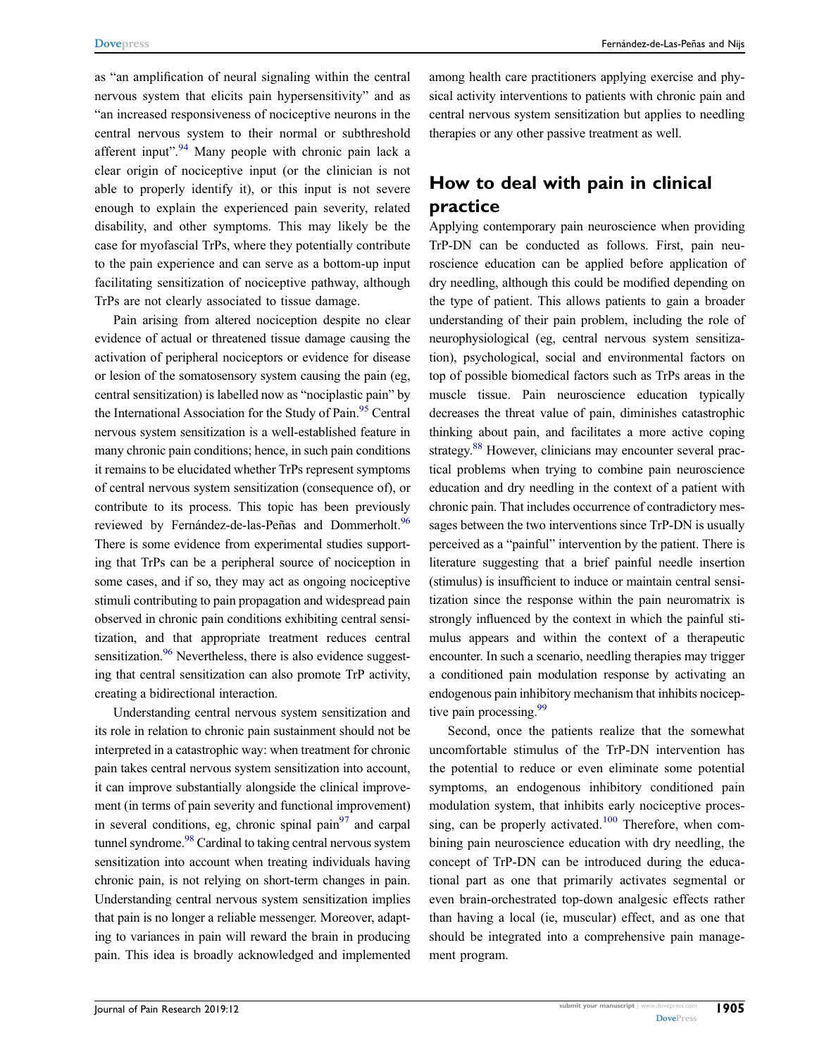<span id="page-6-0"></span>as "an amplification of neural signaling within the central nervous system that elicits pain hypersensitivity" and as "an increased responsiveness of nociceptive neurons in the central nervous system to their normal or subthreshold afferent input".<sup>[94](#page-11-17)</sup> Many people with chronic pain lack a clear origin of nociceptive input (or the clinician is not able to properly identify it), or this input is not severe enough to explain the experienced pain severity, related disability, and other symptoms. This may likely be the case for myofascial TrPs, where they potentially contribute to the pain experience and can serve as a bottom-up input facilitating sensitization of nociceptive pathway, although TrPs are not clearly associated to tissue damage.

<span id="page-6-1"></span>Pain arising from altered nociception despite no clear evidence of actual or threatened tissue damage causing the activation of peripheral nociceptors or evidence for disease or lesion of the somatosensory system causing the pain (eg, central sensitization) is labelled now as "nociplastic pain" by the International Association for the Study of Pain.<sup>95</sup> Central nervous system sensitization is a well-established feature in many chronic pain conditions; hence, in such pain conditions it remains to be elucidated whether TrPs represent symptoms of central nervous system sensitization (consequence of), or contribute to its process. This topic has been previously reviewed by Fernández-de-las-Peñas and Dommerholt.<sup>96</sup> There is some evidence from experimental studies supporting that TrPs can be a peripheral source of nociception in some cases, and if so, they may act as ongoing nociceptive stimuli contributing to pain propagation and widespread pain observed in chronic pain conditions exhibiting central sensitization, and that appropriate treatment reduces central sensitization.<sup>96</sup> Nevertheless, there is also evidence suggesting that central sensitization can also promote TrP activity, creating a bidirectional interaction.

<span id="page-6-4"></span><span id="page-6-3"></span><span id="page-6-2"></span>Understanding central nervous system sensitization and its role in relation to chronic pain sustainment should not be interpreted in a catastrophic way: when treatment for chronic pain takes central nervous system sensitization into account, it can improve substantially alongside the clinical improvement (in terms of pain severity and functional improvement) in several conditions, eg, chronic spinal pain $97$  and carpal tunnel syndrome.<sup>98</sup> Cardinal to taking central nervous system sensitization into account when treating individuals having chronic pain, is not relying on short-term changes in pain. Understanding central nervous system sensitization implies that pain is no longer a reliable messenger. Moreover, adapting to variances in pain will reward the brain in producing pain. This idea is broadly acknowledged and implemented

among health care practitioners applying exercise and physical activity interventions to patients with chronic pain and central nervous system sensitization but applies to needling therapies or any other passive treatment as well.

# How to deal with pain in clinical practice

Applying contemporary pain neuroscience when providing TrP-DN can be conducted as follows. First, pain neuroscience education can be applied before application of dry needling, although this could be modified depending on the type of patient. This allows patients to gain a broader understanding of their pain problem, including the role of neurophysiological (eg, central nervous system sensitization), psychological, social and environmental factors on top of possible biomedical factors such as TrPs areas in the muscle tissue. Pain neuroscience education typically decreases the threat value of pain, diminishes catastrophic thinking about pain, and facilitates a more active coping strategy.<sup>88</sup> However, clinicians may encounter several practical problems when trying to combine pain neuroscience education and dry needling in the context of a patient with chronic pain. That includes occurrence of contradictory messages between the two interventions since TrP-DN is usually perceived as a "painful" intervention by the patient. There is literature suggesting that a brief painful needle insertion (stimulus) is insufficient to induce or maintain central sensitization since the response within the pain neuromatrix is strongly influenced by the context in which the painful stimulus appears and within the context of a therapeutic encounter. In such a scenario, needling therapies may trigger a conditioned pain modulation response by activating an endogenous pain inhibitory mechanism that inhibits nocicep-tive pain processing.<sup>[99](#page-11-22)</sup>

<span id="page-6-6"></span><span id="page-6-5"></span>Second, once the patients realize that the somewhat uncomfortable stimulus of the TrP-DN intervention has the potential to reduce or even eliminate some potential symptoms, an endogenous inhibitory conditioned pain modulation system, that inhibits early nociceptive proces-sing, can be properly activated.<sup>[100](#page-11-23)</sup> Therefore, when combining pain neuroscience education with dry needling, the concept of TrP-DN can be introduced during the educational part as one that primarily activates segmental or even brain-orchestrated top-down analgesic effects rather than having a local (ie, muscular) effect, and as one that should be integrated into a comprehensive pain management program.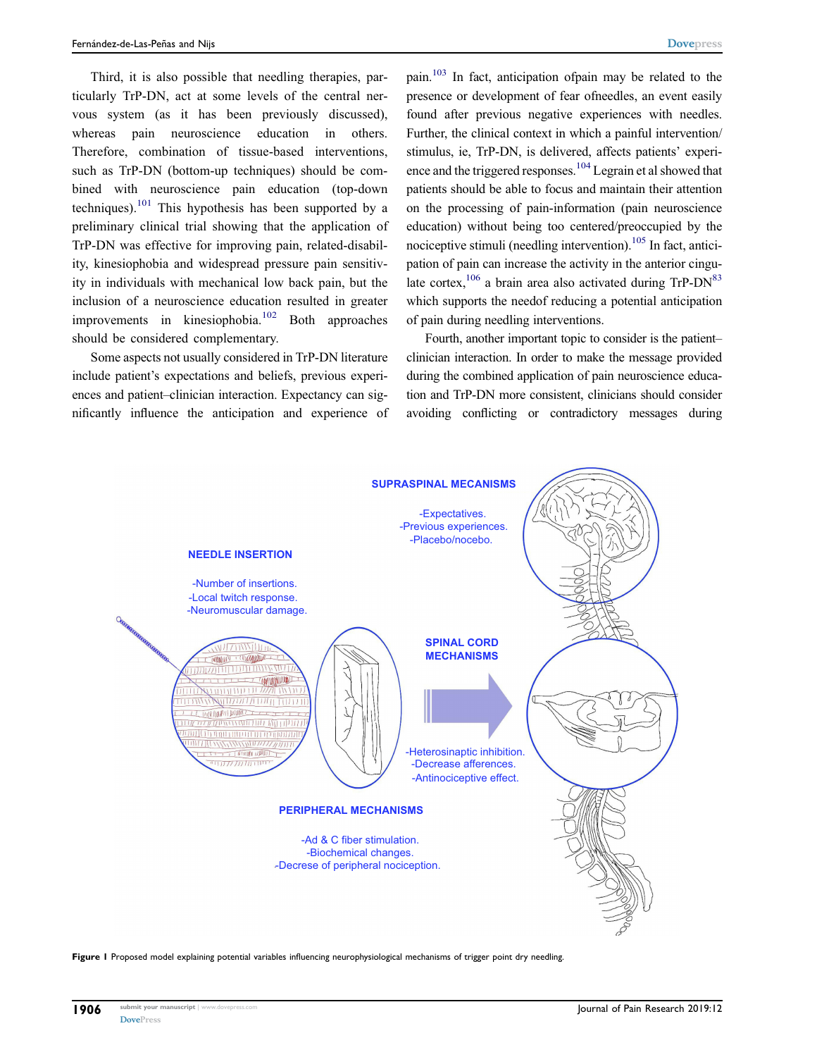<span id="page-7-1"></span>Third, it is also possible that needling therapies, particularly TrP-DN, act at some levels of the central nervous system (as it has been previously discussed), whereas pain neuroscience education in others. Therefore, combination of tissue-based interventions, such as TrP-DN (bottom-up techniques) should be combined with neuroscience pain education (top-down techniques).<sup>[101](#page-11-24)</sup> This hypothesis has been supported by a preliminary clinical trial showing that the application of TrP-DN was effective for improving pain, related-disability, kinesiophobia and widespread pressure pain sensitivity in individuals with mechanical low back pain, but the inclusion of a neuroscience education resulted in greater improvements in kinesiophobia.[102](#page-11-25) Both approaches should be considered complementary.

<span id="page-7-2"></span>Some aspects not usually considered in TrP-DN literature include patient's expectations and beliefs, previous experiences and patient–clinician interaction. Expectancy can significantly influence the anticipation and experience of

<span id="page-7-4"></span><span id="page-7-3"></span>pain[.103](#page-11-26) In fact, anticipation ofpain may be related to the presence or development of fear ofneedles, an event easily found after previous negative experiences with needles. Further, the clinical context in which a painful intervention/ stimulus, ie, TrP-DN, is delivered, affects patients' experi-ence and the triggered responses.<sup>[104](#page-11-27)</sup> Legrain et al showed that patients should be able to focus and maintain their attention on the processing of pain-information (pain neuroscience education) without being too centered/preoccupied by the nociceptive stimuli (needling intervention).<sup>105</sup> In fact, anticipation of pain can increase the activity in the anterior cingulate cortex,<sup>106</sup> a brain area also activated during TrP-DN<sup>83</sup> which supports the needof reducing a potential anticipation of pain during needling interventions.

<span id="page-7-6"></span><span id="page-7-5"></span>Fourth, another important topic to consider is the patient– clinician interaction. In order to make the message provided during the combined application of pain neuroscience education and TrP-DN more consistent, clinicians should consider avoiding conflicting or contradictory messages during

<span id="page-7-0"></span>

Figure I Proposed model explaining potential variables influencing neurophysiological mechanisms of trigger point dry needling.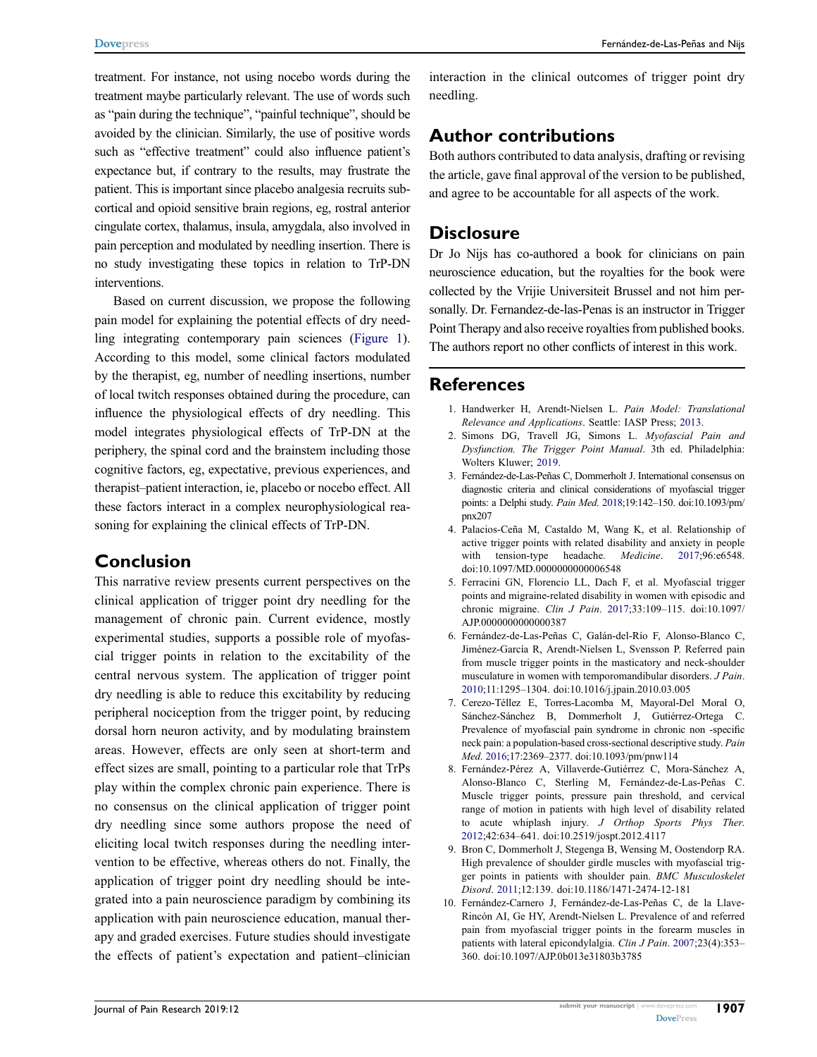treatment. For instance, not using nocebo words during the treatment maybe particularly relevant. The use of words such as "pain during the technique", "painful technique", should be avoided by the clinician. Similarly, the use of positive words such as "effective treatment" could also influence patient's expectance but, if contrary to the results, may frustrate the patient. This is important since placebo analgesia recruits subcortical and opioid sensitive brain regions, eg, rostral anterior cingulate cortex, thalamus, insula, amygdala, also involved in pain perception and modulated by needling insertion. There is no study investigating these topics in relation to TrP-DN interventions.

Based on current discussion, we propose the following pain model for explaining the potential effects of dry needling integrating contemporary pain sciences [\(Figure 1\)](#page-7-0). According to this model, some clinical factors modulated by the therapist, eg, number of needling insertions, number of local twitch responses obtained during the procedure, can influence the physiological effects of dry needling. This model integrates physiological effects of TrP-DN at the periphery, the spinal cord and the brainstem including those cognitive factors, eg, expectative, previous experiences, and therapist–patient interaction, ie, placebo or nocebo effect. All these factors interact in a complex neurophysiological reasoning for explaining the clinical effects of TrP-DN.

#### Conclusion

This narrative review presents current perspectives on the clinical application of trigger point dry needling for the management of chronic pain. Current evidence, mostly experimental studies, supports a possible role of myofascial trigger points in relation to the excitability of the central nervous system. The application of trigger point dry needling is able to reduce this excitability by reducing peripheral nociception from the trigger point, by reducing dorsal horn neuron activity, and by modulating brainstem areas. However, effects are only seen at short-term and effect sizes are small, pointing to a particular role that TrPs play within the complex chronic pain experience. There is no consensus on the clinical application of trigger point dry needling since some authors propose the need of eliciting local twitch responses during the needling intervention to be effective, whereas others do not. Finally, the application of trigger point dry needling should be integrated into a pain neuroscience paradigm by combining its application with pain neuroscience education, manual therapy and graded exercises. Future studies should investigate the effects of patient's expectation and patient–clinician

interaction in the clinical outcomes of trigger point dry needling.

#### Author contributions

Both authors contributed to data analysis, drafting or revising the article, gave final approval of the version to be published, and agree to be accountable for all aspects of the work.

#### Disclosure

Dr Jo Nijs has co-authored a book for clinicians on pain neuroscience education, but the royalties for the book were collected by the Vrijie Universiteit Brussel and not him personally. Dr. Fernandez-de-las-Penas is an instructor in Trigger Point Therapy and also receive royalties from published books. The authors report no other conflicts of interest in this work.

#### References

- <span id="page-8-0"></span>1. Handwerker H, Arendt-Nielsen L. Pain Model: Translational Relevance and Applications. Seattle: IASP Press; [2013.](#page-0-4)
- <span id="page-8-1"></span>2. Simons DG, Travell JG, Simons L. Myofascial Pain and Dysfunction. The Trigger Point Manual. 3th ed. Philadelphia: Wolters Kluwer; [2019](#page-0-5).
- <span id="page-8-2"></span>3. Fernández-de-Las-Peñas C, Dommerholt J. International consensus on diagnostic criteria and clinical considerations of myofascial trigger points: a Delphi study. Pain Med. [2018;](#page-1-0)19:142–150. doi:[10.1093/pm/](https://doi.org/10.1093/pm/pnx207) [pnx207](https://doi.org/10.1093/pm/pnx207)
- <span id="page-8-3"></span>4. Palacios-Ceña M, Castaldo M, Wang K, et al. Relationship of active trigger points with related disability and anxiety in people with tension-type headache. Medicine. [2017](#page-1-1);96:e6548. doi:[10.1097/MD.0000000000006548](https://doi.org/10.1097/MD.0000000000006548)
- <span id="page-8-4"></span>5. Ferracini GN, Florencio LL, Dach F, et al. Myofascial trigger points and migraine-related disability in women with episodic and chronic migraine. Clin J Pain. [2017](#page-1-1);33:109–115. doi:[10.1097/](https://doi.org/10.1097/AJP.0000000000000387) [AJP.0000000000000387](https://doi.org/10.1097/AJP.0000000000000387)
- <span id="page-8-5"></span>6. Fernández-de-Las-Peñas C, Galán-del-Río F, Alonso-Blanco C, Jiménez-García R, Arendt-Nielsen L, Svensson P. Referred pain from muscle trigger points in the masticatory and neck-shoulder musculature in women with temporomandibular disorders. J Pain. [2010](#page-1-2);11:1295–1304. doi:[10.1016/j.jpain.2010.03.005](https://doi.org/10.1016/j.jpain.2010.03.005)
- <span id="page-8-6"></span>7. Cerezo-Téllez E, Torres-Lacomba M, Mayoral-Del Moral O, Sánchez-Sánchez B, Dommerholt J, Gutiérrez-Ortega C. Prevalence of myofascial pain syndrome in chronic non -specific neck pain: a population-based cross-sectional descriptive study. Pain Med. [2016;](#page-1-2)17:2369–2377. doi:[10.1093/pm/pnw114](https://doi.org/10.1093/pm/pnw114)
- <span id="page-8-7"></span>8. Fernández-Pérez A, Villaverde-Gutiérrez C, Mora-Sánchez A, Alonso-Blanco C, Sterling M, Fernández-de-Las-Peñas C. Muscle trigger points, pressure pain threshold, and cervical range of motion in patients with high level of disability related to acute whiplash injury. J Orthop Sports Phys Ther. [2012](#page-1-3);42:634–641. doi:[10.2519/jospt.2012.4117](https://doi.org/10.2519/jospt.2012.4117)
- <span id="page-8-8"></span>9. Bron C, Dommerholt J, Stegenga B, Wensing M, Oostendorp RA. High prevalence of shoulder girdle muscles with myofascial trigger points in patients with shoulder pain. BMC Musculoskelet Disord. [2011](#page-1-3);12:139. doi:[10.1186/1471-2474-12-181](https://doi.org/10.1186/1471-2474-12-181)
- <span id="page-8-9"></span>10. Fernández-Carnero J, Fernández-de-Las-Peñas C, de la Llave-Rincón AI, Ge HY, Arendt-Nielsen L. Prevalence of and referred pain from myofascial trigger points in the forearm muscles in patients with lateral epicondylalgia. Clin J Pain. [2007;](#page-1-4)23(4):353-360. doi:[10.1097/AJP.0b013e31803b3785](https://doi.org/10.1097/AJP.0b013e31803b3785)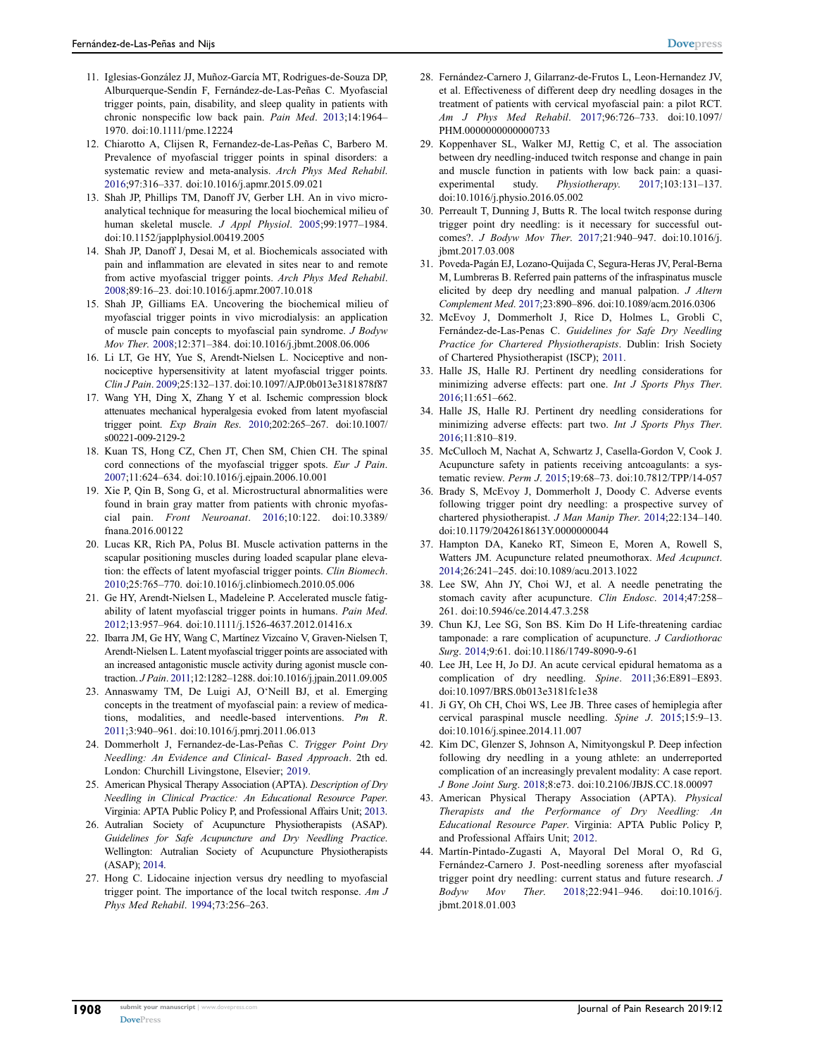- <span id="page-9-0"></span>11. Iglesias-González JJ, Muñoz-García MT, Rodrigues-de-Souza DP, Alburquerque-Sendín F, Fernández-de-Las-Peñas C. Myofascial trigger points, pain, disability, and sleep quality in patients with chronic nonspecific low back pain. Pain Med. [2013](#page-1-4);14:1964– 1970. doi:[10.1111/pme.12224](https://doi.org/10.1111/pme.12224)
- <span id="page-9-1"></span>12. Chiarotto A, Clijsen R, Fernandez-de-Las-Peñas C, Barbero M. Prevalence of myofascial trigger points in spinal disorders: a systematic review and meta-analysis. Arch Phys Med Rehabil. [2016](#page-1-5);97:316–337. doi:[10.1016/j.apmr.2015.09.021](https://doi.org/10.1016/j.apmr.2015.09.021)
- <span id="page-9-2"></span>13. Shah JP, Phillips TM, Danoff JV, Gerber LH. An in vivo microanalytical technique for measuring the local biochemical milieu of human skeletal muscle. J Appl Physiol. [2005](#page-1-6);99:1977–1984. doi:[10.1152/japplphysiol.00419.2005](https://doi.org/10.1152/japplphysiol.00419.2005)
- <span id="page-9-3"></span>14. Shah JP, Danoff J, Desai M, et al. Biochemicals associated with pain and inflammation are elevated in sites near to and remote from active myofascial trigger points. Arch Phys Med Rehabil. [2008](#page-1-6);89:16–23. doi:[10.1016/j.apmr.2007.10.018](https://doi.org/10.1016/j.apmr.2007.10.018)
- <span id="page-9-4"></span>15. Shah JP, Gilliams EA. Uncovering the biochemical milieu of myofascial trigger points in vivo microdialysis: an application of muscle pain concepts to myofascial pain syndrome. J Bodyw Mov Ther. [2008;](#page-1-7)12:371–384. doi:[10.1016/j.jbmt.2008.06.006](https://doi.org/10.1016/j.jbmt.2008.06.006)
- <span id="page-9-5"></span>16. Li LT, Ge HY, Yue S, Arendt-Nielsen L. Nociceptive and nonnociceptive hypersensitivity at latent myofascial trigger points. Clin J Pain. [2009;](#page-1-8)25:132–137. doi:[10.1097/AJP.0b013e3181878f87](https://doi.org/10.1097/AJP.0b013e3181878f87)
- <span id="page-9-6"></span>17. Wang YH, Ding X, Zhang Y et al. Ischemic compression block attenuates mechanical hyperalgesia evoked from latent myofascial trigger point. Exp Brain Res. [2010;](#page-1-8)202:265–267. doi:[10.1007/](https://doi.org/10.1007/s00221-009-2129-2) [s00221-009-2129-2](https://doi.org/10.1007/s00221-009-2129-2)
- <span id="page-9-7"></span>18. Kuan TS, Hong CZ, Chen JT, Chen SM, Chien CH. The spinal cord connections of the myofascial trigger spots. Eur J Pain. [2007](#page-1-9);11:624–634. doi:[10.1016/j.ejpain.2006.10.001](https://doi.org/10.1016/j.ejpain.2006.10.001)
- <span id="page-9-8"></span>19. Xie P, Qin B, Song G, et al. Microstructural abnormalities were found in brain gray matter from patients with chronic myofascial pain. Front Neuroanat. [2016](#page-1-10);10:122. doi:[10.3389/](https://doi.org/10.3389/fnana.2016.00122) [fnana.2016.00122](https://doi.org/10.3389/fnana.2016.00122)
- <span id="page-9-9"></span>20. Lucas KR, Rich PA, Polus BI. Muscle activation patterns in the scapular positioning muscles during loaded scapular plane elevation: the effects of latent myofascial trigger points. Clin Biomech. [2010](#page-1-11);25:765–770. doi:[10.1016/j.clinbiomech.2010.05.006](https://doi.org/10.1016/j.clinbiomech.2010.05.006)
- <span id="page-9-10"></span>21. Ge HY, Arendt-Nielsen L, Madeleine P. Accelerated muscle fatigability of latent myofascial trigger points in humans. Pain Med. [2012](#page-1-11);13:957–964. doi:[10.1111/j.1526-4637.2012.01416.x](https://doi.org/10.1111/j.1526-4637.2012.01416.x)
- <span id="page-9-11"></span>22. Ibarra JM, Ge HY, Wang C, Martínez Vizcaíno V, Graven-Nielsen T, Arendt-Nielsen L. Latent myofascial trigger points are associated with an increased antagonistic muscle activity during agonist muscle contraction. J Pain. [2011](#page-1-12);12:1282–1288. doi:[10.1016/j.jpain.2011.09.005](https://doi.org/10.1016/j.jpain.2011.09.005)
- <span id="page-9-12"></span>23. Annaswamy TM, De Luigi AJ, O'Neill BJ, et al. Emerging concepts in the treatment of myofascial pain: a review of medications, modalities, and needle-based interventions. Pm R. [2011](#page-1-13);3:940–961. doi:[10.1016/j.pmrj.2011.06.013](https://doi.org/10.1016/j.pmrj.2011.06.013)
- <span id="page-9-13"></span>24. Dommerholt J, Fernandez-de-Las-Peñas C. Trigger Point Dry Needling: An Evidence and Clinical- Based Approach. 2th ed. London: Churchill Livingstone, Elsevier; [2019.](#page-1-14)
- <span id="page-9-14"></span>25. American Physical Therapy Association (APTA). Description of Dry Needling in Clinical Practice: An Educational Resource Paper. Virginia: APTA Public Policy P, and Professional Affairs Unit; [2013.](#page-1-15)
- <span id="page-9-15"></span>26. Autralian Society of Acupuncture Physiotherapists (ASAP). Guidelines for Safe Acupuncture and Dry Needling Practice. Wellington: Autralian Society of Acupuncture Physiotherapists (ASAP); [2014.](#page-1-16)
- <span id="page-9-16"></span>27. Hong C. Lidocaine injection versus dry needling to myofascial trigger point. The importance of the local twitch response. Am J Phys Med Rehabil. [1994;](#page-2-0)73:256–263.
- <span id="page-9-17"></span>28. Fernández-Carnero J, Gilarranz-de-Frutos L, Leon-Hernandez JV, et al. Effectiveness of different deep dry needling dosages in the treatment of patients with cervical myofascial pain: a pilot RCT. Am J Phys Med Rehabil. [2017](#page-2-1);96:726–733. doi:[10.1097/](https://doi.org/10.1097/PHM.0000000000000733) [PHM.0000000000000733](https://doi.org/10.1097/PHM.0000000000000733)
- <span id="page-9-18"></span>29. Koppenhaver SL, Walker MJ, Rettig C, et al. The association between dry needling-induced twitch response and change in pain and muscle function in patients with low back pain: a quasiexperimental study. Physiotherapy. [2017;](#page-2-2)103:131–137. doi:[10.1016/j.physio.2016.05.002](https://doi.org/10.1016/j.physio.2016.05.002)
- <span id="page-9-19"></span>30. Perreault T, Dunning J, Butts R. The local twitch response during trigger point dry needling: is it necessary for successful outcomes?. J Bodyw Mov Ther. [2017;](#page-2-3)21:940–947. doi:[10.1016/j.](https://doi.org/10.1016/j.jbmt.2017.03.008) [jbmt.2017.03.008](https://doi.org/10.1016/j.jbmt.2017.03.008)
- <span id="page-9-20"></span>31. Poveda-Pagán EJ, Lozano-Quijada C, Segura-Heras JV, Peral-Berna M, Lumbreras B. Referred pain patterns of the infraspinatus muscle elicited by deep dry needling and manual palpation. J Altern Complement Med. [2017;](#page-2-4)23:890–896. doi:[10.1089/acm.2016.0306](https://doi.org/10.1089/acm.2016.0306)
- <span id="page-9-21"></span>32. McEvoy J, Dommerholt J, Rice D, Holmes L, Grobli C, Fernández-de-Las-Penas C. Guidelines for Safe Dry Needling Practice for Chartered Physiotherapists. Dublin: Irish Society of Chartered Physiotherapist (ISCP); [2011](#page-2-5).
- <span id="page-9-22"></span>33. Halle JS, Halle RJ. Pertinent dry needling considerations for minimizing adverse effects: part one. Int J Sports Phys Ther. [2016](#page-2-6);11:651–662.
- <span id="page-9-23"></span>34. Halle JS, Halle RJ. Pertinent dry needling considerations for minimizing adverse effects: part two. Int J Sports Phys Ther. [2016](#page-2-6);11:810–819.
- <span id="page-9-24"></span>35. McCulloch M, Nachat A, Schwartz J, Casella-Gordon V, Cook J. Acupuncture safety in patients receiving antcoagulants: a systematic review. Perm J. [2015](#page-2-7);19:68–73. doi:[10.7812/TPP/14-057](https://doi.org/10.7812/TPP/14-057)
- <span id="page-9-25"></span>36. Brady S, McEvoy J, Dommerholt J, Doody C. Adverse events following trigger point dry needling: a prospective survey of chartered physiotherapist. J Man Manip Ther. [2014;](#page-2-8)22:134–140. doi:[10.1179/2042618613Y.0000000044](https://doi.org/10.1179/2042618613Y.0000000044)
- <span id="page-9-26"></span>37. Hampton DA, Kaneko RT, Simeon E, Moren A, Rowell S, Watters JM. Acupuncture related pneumothorax. Med Acupunct. [2014](#page-2-9);26:241–245. doi:[10.1089/acu.2013.1022](https://doi.org/10.1089/acu.2013.1022)
- <span id="page-9-27"></span>38. Lee SW, Ahn JY, Choi WJ, et al. A needle penetrating the stomach cavity after acupuncture. Clin Endosc. [2014;](#page-2-10)47:258– 261. doi:[10.5946/ce.2014.47.3.258](https://doi.org/10.5946/ce.2014.47.3.258)
- <span id="page-9-28"></span>39. Chun KJ, Lee SG, Son BS. Kim Do H Life-threatening cardiac tamponade: a rare complication of acupuncture. J Cardiothorac Surg. [2014;](#page-2-10)9:61. doi:[10.1186/1749-8090-9-61](https://doi.org/10.1186/1749-8090-9-61)
- <span id="page-9-29"></span>40. Lee JH, Lee H, Jo DJ. An acute cervical epidural hematoma as a complication of dry needling. Spine. [2011](#page-2-11);36:E891–E893. doi:[10.1097/BRS.0b013e3181fc1e38](https://doi.org/10.1097/BRS.0b013e3181fc1e38)
- <span id="page-9-30"></span>41. Ji GY, Oh CH, Choi WS, Lee JB. Three cases of hemiplegia after cervical paraspinal muscle needling. Spine J. [2015;](#page-2-11)15:9–13. doi:[10.1016/j.spinee.2014.11.007](https://doi.org/10.1016/j.spinee.2014.11.007)
- <span id="page-9-31"></span>42. Kim DC, Glenzer S, Johnson A, Nimityongskul P. Deep infection following dry needling in a young athlete: an underreported complication of an increasingly prevalent modality: A case report. J Bone Joint Surg. [2018;](#page-2-11)8:e73. doi:[10.2106/JBJS.CC.18.00097](https://doi.org/10.2106/JBJS.CC.18.00097)
- <span id="page-9-32"></span>43. American Physical Therapy Association (APTA). Physical Therapists and the Performance of Dry Needling: An Educational Resource Paper. Virginia: APTA Public Policy P, and Professional Affairs Unit; [2012.](#page-2-12)
- <span id="page-9-33"></span>44. Martín-Pintado-Zugasti A, Mayoral Del Moral O, Rd G, Fernández-Carnero J. Post-needling soreness after myofascial trigger point dry needling: current status and future research. J Bodyw Mov Ther. [2018;](#page-2-13)22:941–946. doi:[10.1016/j.](https://doi.org/10.1016/j.jbmt.2018.01.003) [jbmt.2018.01.003](https://doi.org/10.1016/j.jbmt.2018.01.003)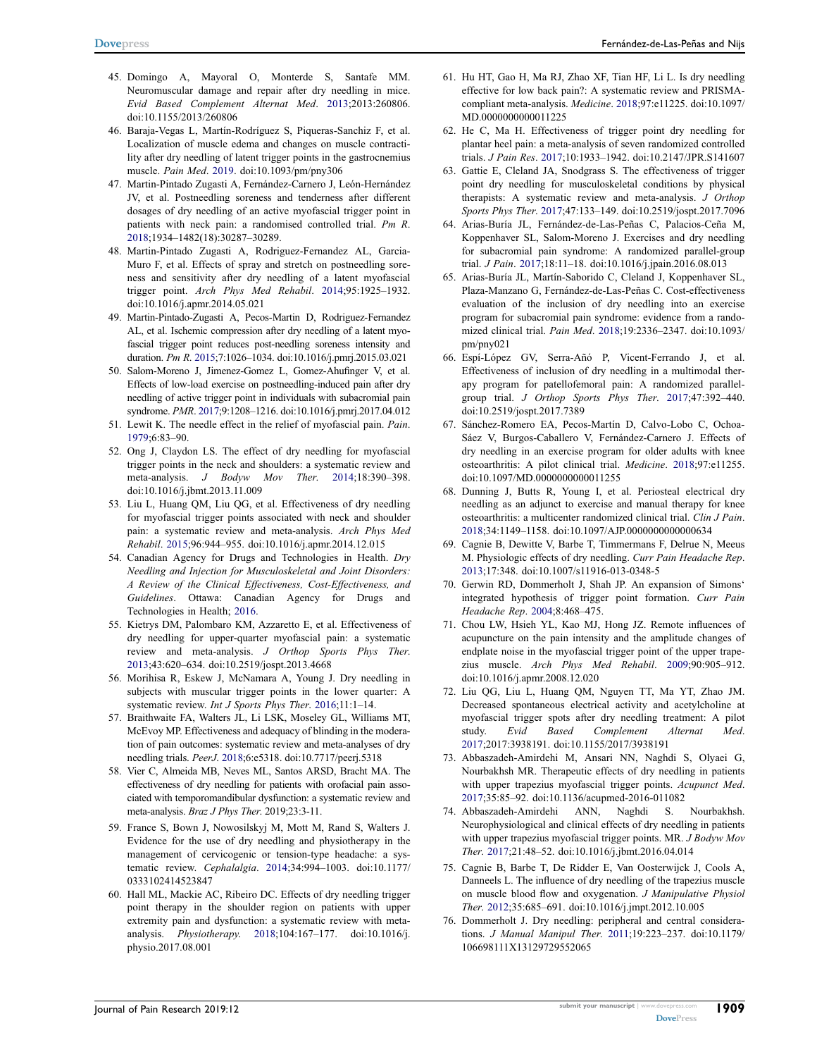- <span id="page-10-0"></span>45. Domingo A, Mayoral O, Monterde S, Santafe MM. Neuromuscular damage and repair after dry needling in mice. Evid Based Complement Alternat Med. [2013](#page-2-14);2013:260806. doi:[10.1155/2013/260806](https://doi.org/10.1155/2013/260806)
- <span id="page-10-1"></span>46. Baraja-Vegas L, Martín-Rodríguez S, Piqueras-Sanchiz F, et al. Localization of muscle edema and changes on muscle contractility after dry needling of latent trigger points in the gastrocnemius muscle. Pain Med. [2019](#page-3-0). doi:[10.1093/pm/pny306](https://doi.org/10.1093/pm/pny306)
- <span id="page-10-2"></span>47. Martin-Pintado Zugasti A, Fernández-Carnero J, León-Hernández JV, et al. Postneedling soreness and tenderness after different dosages of dry needling of an active myofascial trigger point in patients with neck pain: a randomised controlled trial. Pm R. [2018](#page-3-1);1934–1482(18):30287–30289.
- <span id="page-10-3"></span>48. Martin-Pintado Zugasti A, Rodriguez-Fernandez AL, Garcia-Muro F, et al. Effects of spray and stretch on postneedling soreness and sensitivity after dry needling of a latent myofascial trigger point. Arch Phys Med Rehabil. [2014](#page-3-2);95:1925–1932. doi:[10.1016/j.apmr.2014.05.021](https://doi.org/10.1016/j.apmr.2014.05.021)
- <span id="page-10-4"></span>49. Martin-Pintado-Zugasti A, Pecos-Martin D, Rodriguez-Fernandez AL, et al. Ischemic compression after dry needling of a latent myofascial trigger point reduces post-needling soreness intensity and duration. Pm R. [2015](#page-3-3);7:1026–1034. doi:[10.1016/j.pmrj.2015.03.021](https://doi.org/10.1016/j.pmrj.2015.03.021)
- <span id="page-10-5"></span>50. Salom-Moreno J, Jimenez-Gomez L, Gomez-Ahufinger V, et al. Effects of low-load exercise on postneedling-induced pain after dry needling of active trigger point in individuals with subacromial pain syndrome. PMR. [2017](#page-3-3);9:1208–1216. doi:[10.1016/j.pmrj.2017.04.012](https://doi.org/10.1016/j.pmrj.2017.04.012)
- <span id="page-10-6"></span>51. Lewit K. The needle effect in the relief of myofascial pain. Pain. [1979](#page-3-4);6:83–90.
- <span id="page-10-7"></span>52. Ong J, Claydon LS. The effect of dry needling for myofascial trigger points in the neck and shoulders: a systematic review and meta-analysis. J Bodyw Mov Ther. [2014](#page-3-5);18:390–398. doi:[10.1016/j.jbmt.2013.11.009](https://doi.org/10.1016/j.jbmt.2013.11.009)
- <span id="page-10-8"></span>53. Liu L, Huang QM, Liu QG, et al. Effectiveness of dry needling for myofascial trigger points associated with neck and shoulder pain: a systematic review and meta-analysis. Arch Phys Med Rehabil. [2015;](#page-3-6)96:944–955. doi:[10.1016/j.apmr.2014.12.015](https://doi.org/10.1016/j.apmr.2014.12.015)
- <span id="page-10-9"></span>54. Canadian Agency for Drugs and Technologies in Health. Dry Needling and Injection for Musculoskeletal and Joint Disorders: A Review of the Clinical Effectiveness, Cost-Effectiveness, and Guidelines. Ottawa: Canadian Agency for Drugs and Technologies in Health; [2016.](#page-3-7)
- <span id="page-10-10"></span>55. Kietrys DM, Palombaro KM, Azzaretto E, et al. Effectiveness of dry needling for upper-quarter myofascial pain: a systematic review and meta-analysis. J Orthop Sports Phys Ther. [2013](#page-3-8);43:620–634. doi:[10.2519/jospt.2013.4668](https://doi.org/10.2519/jospt.2013.4668)
- <span id="page-10-11"></span>56. Morihisa R, Eskew J, McNamara A, Young J. Dry needling in subjects with muscular trigger points in the lower quarter: A systematic review. Int J Sports Phys Ther. [2016](#page-3-8);11:1-14.
- <span id="page-10-12"></span>57. Braithwaite FA, Walters JL, Li LSK, Moseley GL, Williams MT, McEvoy MP. Effectiveness and adequacy of blinding in the moderation of pain outcomes: systematic review and meta-analyses of dry needling trials. PeerJ. [2018](#page-3-9);6:e5318. doi:[10.7717/peerj.5318](https://doi.org/10.7717/peerj.5318)
- <span id="page-10-13"></span>58. Vier C, Almeida MB, Neves ML, Santos ARSD, Bracht MA. The effectiveness of dry needling for patients with orofacial pain associated with temporomandibular dysfunction: a systematic review and meta-analysis. Braz J Phys Ther. 2019;23:3-11.
- <span id="page-10-14"></span>59. France S, Bown J, Nowosilskyj M, Mott M, Rand S, Walters J. Evidence for the use of dry needling and physiotherapy in the management of cervicogenic or tension-type headache: a systematic review. Cephalalgia. [2014;](#page-3-10)34:994–1003. doi:[10.1177/](https://doi.org/10.1177/0333102414523847) [0333102414523847](https://doi.org/10.1177/0333102414523847)
- <span id="page-10-15"></span>60. Hall ML, Mackie AC, Ribeiro DC. Effects of dry needling trigger point therapy in the shoulder region on patients with upper extremity pain and dysfunction: a systematic review with metaanalysis. Physiotherapy. [2018;](#page-3-11)104:167–177. doi:[10.1016/j.](https://doi.org/10.1016/j.physio.2017.08.001) [physio.2017.08.001](https://doi.org/10.1016/j.physio.2017.08.001)
- <span id="page-10-16"></span>61. Hu HT, Gao H, Ma RJ, Zhao XF, Tian HF, Li L. Is dry needling effective for low back pain?: A systematic review and PRISMAcompliant meta-analysis. Medicine. [2018;](#page-4-0)97:e11225. doi:[10.1097/](https://doi.org/10.1097/MD.0000000000011225) [MD.0000000000011225](https://doi.org/10.1097/MD.0000000000011225)
- <span id="page-10-17"></span>62. He C, Ma H. Effectiveness of trigger point dry needling for plantar heel pain: a meta-analysis of seven randomized controlled trials. J Pain Res. [2017;](#page-4-1)10:1933–1942. doi:[10.2147/JPR.S141607](https://doi.org/10.2147/JPR.S141607)
- <span id="page-10-18"></span>63. Gattie E, Cleland JA, Snodgrass S. The effectiveness of trigger point dry needling for musculoskeletal conditions by physical therapists: A systematic review and meta-analysis. J Orthop Sports Phys Ther. [2017;](#page-4-2)47:133–149. doi:[10.2519/jospt.2017.7096](https://doi.org/10.2519/jospt.2017.7096)
- <span id="page-10-19"></span>64. Arias-Buría JL, Fernández-de-Las-Peñas C, Palacios-Ceña M, Koppenhaver SL, Salom-Moreno J. Exercises and dry needling for subacromial pain syndrome: A randomized parallel-group trial. J Pain. [2017;](#page-4-3)18:11–18. doi:[10.1016/j.jpain.2016.08.013](https://doi.org/10.1016/j.jpain.2016.08.013)
- <span id="page-10-20"></span>65. Arias-Buría JL, Martín-Saborido C, Cleland J, Koppenhaver SL, Plaza-Manzano G, Fernández-de-Las-Peñas C. Cost-effectiveness evaluation of the inclusion of dry needling into an exercise program for subacromial pain syndrome: evidence from a randomized clinical trial. Pain Med. [2018;](#page-4-4)19:2336–2347. doi:[10.1093/](https://doi.org/10.1093/pm/pny021) [pm/pny021](https://doi.org/10.1093/pm/pny021)
- <span id="page-10-21"></span>66. Espí-López GV, Serra-Añó P, Vicent-Ferrando J, et al. Effectiveness of inclusion of dry needling in a multimodal therapy program for patellofemoral pain: A randomized parallel-group trial. J Orthop Sports Phys Ther. [2017;](#page-4-5)47:392-440. doi:[10.2519/jospt.2017.7389](https://doi.org/10.2519/jospt.2017.7389)
- <span id="page-10-22"></span>67. Sánchez-Romero EA, Pecos-Martín D, Calvo-Lobo C, Ochoa-Sáez V, Burgos-Caballero V, Fernández-Carnero J. Effects of dry needling in an exercise program for older adults with knee osteoarthritis: A pilot clinical trial. Medicine. [2018;](#page-4-6)97:e11255. doi:[10.1097/MD.0000000000011255](https://doi.org/10.1097/MD.0000000000011255)
- <span id="page-10-23"></span>68. Dunning J, Butts R, Young I, et al. Periosteal electrical dry needling as an adjunct to exercise and manual therapy for knee osteoarthritis: a multicenter randomized clinical trial. Clin J Pain. [2018](#page-4-7);34:1149–1158. doi:[10.1097/AJP.0000000000000634](https://doi.org/10.1097/AJP.0000000000000634)
- <span id="page-10-24"></span>69. Cagnie B, Dewitte V, Barbe T, Timmermans F, Delrue N, Meeus M. Physiologic effects of dry needling. Curr Pain Headache Rep. [2013](#page-4-8);17:348. doi:[10.1007/s11916-013-0348-5](https://doi.org/10.1007/s11916-013-0348-5)
- <span id="page-10-25"></span>70. Gerwin RD, Dommerholt J, Shah JP. An expansion of Simons' integrated hypothesis of trigger point formation. Curr Pain Headache Rep. [2004](#page-4-9);8:468–475.
- <span id="page-10-26"></span>71. Chou LW, Hsieh YL, Kao MJ, Hong JZ. Remote influences of acupuncture on the pain intensity and the amplitude changes of endplate noise in the myofascial trigger point of the upper trapezius muscle. Arch Phys Med Rehabil. [2009;](#page-4-10)90:905–912. doi:[10.1016/j.apmr.2008.12.020](https://doi.org/10.1016/j.apmr.2008.12.020)
- <span id="page-10-27"></span>72. Liu QG, Liu L, Huang QM, Nguyen TT, Ma YT, Zhao JM. Decreased spontaneous electrical activity and acetylcholine at myofascial trigger spots after dry needling treatment: A pilot study. Evid Based Complement Alternat Med. [2017](#page-4-10);2017:3938191. doi:[10.1155/2017/3938191](https://doi.org/10.1155/2017/3938191)
- <span id="page-10-28"></span>73. Abbaszadeh-Amirdehi M, Ansari NN, Naghdi S, Olyaei G, Nourbakhsh MR. Therapeutic effects of dry needling in patients with upper trapezius myofascial trigger points. Acupunct Med. [2017](#page-4-11);35:85–92. doi:[10.1136/acupmed-2016-011082](https://doi.org/10.1136/acupmed-2016-011082)
- <span id="page-10-29"></span>74. Abbaszadeh-Amirdehi ANN, Naghdi S. Nourbakhsh. Neurophysiological and clinical effects of dry needling in patients with upper trapezius myofascial trigger points. MR. J Bodyw Mov Ther. [2017](#page-4-11);21:48–52. doi:[10.1016/j.jbmt.2016.04.014](https://doi.org/10.1016/j.jbmt.2016.04.014)
- <span id="page-10-30"></span>75. Cagnie B, Barbe T, De Ridder E, Van Oosterwijck J, Cools A, Danneels L. The influence of dry needling of the trapezius muscle on muscle blood flow and oxygenation. J Manipulative Physiol Ther. [2012](#page-4-12);35:685–691. doi:[10.1016/j.jmpt.2012.10.005](https://doi.org/10.1016/j.jmpt.2012.10.005)
- <span id="page-10-31"></span>76. Dommerholt J. Dry needling: peripheral and central considerations. J Manual Manipul Ther. [2011;](#page-4-13)19:223–237. doi:[10.1179/](https://doi.org/10.1179/106698111X13129729552065) [106698111X13129729552065](https://doi.org/10.1179/106698111X13129729552065)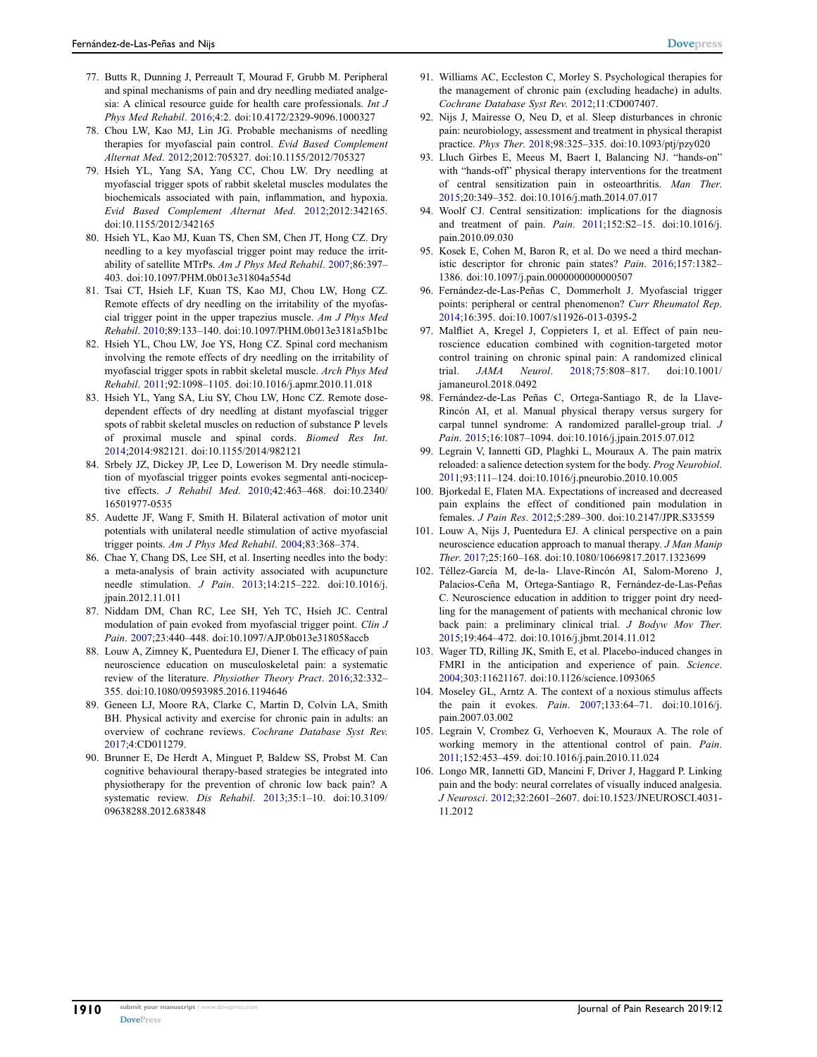- <span id="page-11-0"></span>77. Butts R, Dunning J, Perreault T, Mourad F, Grubb M. Peripheral and spinal mechanisms of pain and dry needling mediated analgesia: A clinical resource guide for health care professionals. Int J Phys Med Rehabil. [2016;](#page-5-0)4:2. doi:[10.4172/2329-9096.1000327](https://doi.org/10.4172/2329-9096.1000327)
- <span id="page-11-1"></span>78. Chou LW, Kao MJ, Lin JG. Probable mechanisms of needling therapies for myofascial pain control. Evid Based Complement Alternat Med. [2012](#page-5-1);2012:705327. doi:[10.1155/2012/705327](https://doi.org/10.1155/2012/705327)
- <span id="page-11-2"></span>79. Hsieh YL, Yang SA, Yang CC, Chou LW. Dry needling at myofascial trigger spots of rabbit skeletal muscles modulates the biochemicals associated with pain, inflammation, and hypoxia. Evid Based Complement Alternat Med. [2012](#page-5-2);2012:342165. doi:[10.1155/2012/342165](https://doi.org/10.1155/2012/342165)
- <span id="page-11-3"></span>80. Hsieh YL, Kao MJ, Kuan TS, Chen SM, Chen JT, Hong CZ. Dry needling to a key myofascial trigger point may reduce the irritability of satellite MTrPs. Am J Phys Med Rehabil. [2007](#page-5-3);86:397– 403. doi:[10.1097/PHM.0b013e31804a554d](https://doi.org/10.1097/PHM.0b013e31804a554d)
- <span id="page-11-4"></span>81. Tsai CT, Hsieh LF, Kuan TS, Kao MJ, Chou LW, Hong CZ. Remote effects of dry needling on the irritability of the myofascial trigger point in the upper trapezius muscle. Am J Phys Med Rehabil. [2010](#page-5-4);89:133–140. doi:[10.1097/PHM.0b013e3181a5b1bc](https://doi.org/10.1097/PHM.0b013e3181a5b1bc)
- <span id="page-11-5"></span>82. Hsieh YL, Chou LW, Joe YS, Hong CZ. Spinal cord mechanism involving the remote effects of dry needling on the irritability of myofascial trigger spots in rabbit skeletal muscle. Arch Phys Med Rehabil. [2011;](#page-5-4)92:1098–1105. doi:[10.1016/j.apmr.2010.11.018](https://doi.org/10.1016/j.apmr.2010.11.018)
- <span id="page-11-6"></span>83. Hsieh YL, Yang SA, Liu SY, Chou LW, Honc CZ. Remote dosedependent effects of dry needling at distant myofascial trigger spots of rabbit skeletal muscles on reduction of substance P levels of proximal muscle and spinal cords. Biomed Res Int. [2014](#page-5-5);2014:982121. doi:[10.1155/2014/982121](https://doi.org/10.1155/2014/982121)
- <span id="page-11-7"></span>84. Srbely JZ, Dickey JP, Lee D, Lowerison M. Dry needle stimulation of myofascial trigger points evokes segmental anti-nociceptive effects. J Rehabil Med. [2010](#page-5-6);42:463–468. doi:[10.2340/](https://doi.org/10.2340/16501977-0535) [16501977-0535](https://doi.org/10.2340/16501977-0535)
- <span id="page-11-8"></span>85. Audette JF, Wang F, Smith H. Bilateral activation of motor unit potentials with unilateral needle stimulation of active myofascial trigger points. Am J Phys Med Rehabil. [2004;](#page-5-7)83:368–374.
- <span id="page-11-9"></span>86. Chae Y, Chang DS, Lee SH, et al. Inserting needles into the body: a meta-analysis of brain activity associated with acupuncture needle stimulation. J Pain. [2013](#page-5-8);14:215–222. doi:[10.1016/j.](https://doi.org/10.1016/j.jpain.2012.11.011) [jpain.2012.11.011](https://doi.org/10.1016/j.jpain.2012.11.011)
- <span id="page-11-10"></span>87. Niddam DM, Chan RC, Lee SH, Yeh TC, Hsieh JC. Central modulation of pain evoked from myofascial trigger point. Clin J Pain. [2007](#page-5-9);23:440–448. doi:[10.1097/AJP.0b013e318058accb](https://doi.org/10.1097/AJP.0b013e318058accb)
- <span id="page-11-11"></span>88. Louw A, Zimney K, Puentedura EJ, Diener I. The efficacy of pain neuroscience education on musculoskeletal pain: a systematic review of the literature. Physiother Theory Pract. [2016](#page-5-10);32:332– 355. doi:[10.1080/09593985.2016.1194646](https://doi.org/10.1080/09593985.2016.1194646)
- <span id="page-11-12"></span>89. Geneen LJ, Moore RA, Clarke C, Martin D, Colvin LA, Smith BH. Physical activity and exercise for chronic pain in adults: an overview of cochrane reviews. Cochrane Database Syst Rev. [2017](#page-5-10);4:CD011279.
- <span id="page-11-13"></span>90. Brunner E, De Herdt A, Minguet P, Baldew SS, Probst M. Can cognitive behavioural therapy-based strategies be integrated into physiotherapy for the prevention of chronic low back pain? A systematic review. Dis Rehabil. [2013;](#page-5-11)35:1–10. doi:[10.3109/](https://doi.org/10.3109/09638288.2012.683848) [09638288.2012.683848](https://doi.org/10.3109/09638288.2012.683848)
- <span id="page-11-14"></span>91. Williams AC, Eccleston C, Morley S. Psychological therapies for the management of chronic pain (excluding headache) in adults. Cochrane Database Syst Rev. [2012](#page-5-11);11:CD007407.
- <span id="page-11-15"></span>92. Nijs J, Mairesse O, Neu D, et al. Sleep disturbances in chronic pain: neurobiology, assessment and treatment in physical therapist practice. Phys Ther. [2018;](#page-5-12)98:325–335. doi:[10.1093/ptj/pzy020](https://doi.org/10.1093/ptj/pzy020)
- <span id="page-11-16"></span>93. Lluch Girbes E, Meeus M, Baert I, Balancing NJ. "hands-on" with "hands-off" physical therapy interventions for the treatment of central sensitization pain in osteoarthritis. Man Ther. [2015](#page-5-13);20:349–352. doi:[10.1016/j.math.2014.07.017](https://doi.org/10.1016/j.math.2014.07.017)
- <span id="page-11-17"></span>94. Woolf CJ. Central sensitization: implications for the diagnosis and treatment of pain. Pain. [2011](#page-6-0);152:S2–15. doi:[10.1016/j.](https://doi.org/10.1016/j.pain.2010.09.030) [pain.2010.09.030](https://doi.org/10.1016/j.pain.2010.09.030)
- <span id="page-11-18"></span>95. Kosek E, Cohen M, Baron R, et al. Do we need a third mechanistic descriptor for chronic pain states? Pain. [2016;](#page-6-1)157:1382– 1386. doi:[10.1097/j.pain.0000000000000507](https://doi.org/10.1097/j.pain.0000000000000507)
- <span id="page-11-19"></span>96. Fernández-de-Las-Peñas C, Dommerholt J. Myofascial trigger points: peripheral or central phenomenon? Curr Rheumatol Rep. [2014](#page-6-2);16:395. doi:[10.1007/s11926-013-0395-2](https://doi.org/10.1007/s11926-013-0395-2)
- <span id="page-11-20"></span>97. Malfliet A, Kregel J, Coppieters I, et al. Effect of pain neuroscience education combined with cognition-targeted motor control training on chronic spinal pain: A randomized clinical trial. JAMA Neurol. [2018;](#page-6-3)75:808–817. doi:[10.1001/](https://doi.org/10.1001/jamaneurol.2018.0492) [jamaneurol.2018.0492](https://doi.org/10.1001/jamaneurol.2018.0492)
- <span id="page-11-21"></span>98. Fernández-de-Las Peñas C, Ortega-Santiago R, de la Llave-Rincón AI, et al. Manual physical therapy versus surgery for carpal tunnel syndrome: A randomized parallel-group trial. J Pain. [2015;](#page-6-4)16:1087–1094. doi:[10.1016/j.jpain.2015.07.012](https://doi.org/10.1016/j.jpain.2015.07.012)
- <span id="page-11-22"></span>99. Legrain V, Iannetti GD, Plaghki L, Mouraux A. The pain matrix reloaded: a salience detection system for the body. Prog Neurobiol. [2011;](#page-6-5)93:111–124. doi:[10.1016/j.pneurobio.2010.10.005](https://doi.org/10.1016/j.pneurobio.2010.10.005)
- <span id="page-11-23"></span>100. Bjorkedal E, Flaten MA. Expectations of increased and decreased pain explains the effect of conditioned pain modulation in females. J Pain Res. [2012;](#page-6-6)5:289–300. doi:[10.2147/JPR.S33559](https://doi.org/10.2147/JPR.S33559)
- <span id="page-11-24"></span>101. Louw A, Nijs J, Puentedura EJ. A clinical perspective on a pain neuroscience education approach to manual therapy. J Man Manip Ther. [2017;](#page-7-1)25:160–168. doi:[10.1080/10669817.2017.1323699](https://doi.org/10.1080/10669817.2017.1323699)
- <span id="page-11-25"></span>102. Téllez-García M, de-la- Llave-Rincón AI, Salom-Moreno J, Palacios-Ceña M, Ortega-Santiago R, Fernández-de-Las-Peñas C. Neuroscience education in addition to trigger point dry needling for the management of patients with mechanical chronic low back pain: a preliminary clinical trial. J Bodyw Mov Ther. [2015](#page-7-2);19:464–472. doi:[10.1016/j.jbmt.2014.11.012](https://doi.org/10.1016/j.jbmt.2014.11.012)
- <span id="page-11-26"></span>103. Wager TD, Rilling JK, Smith E, et al. Placebo-induced changes in FMRI in the anticipation and experience of pain. Science. [2004](#page-7-3);303:11621167. doi:[10.1126/science.1093065](https://doi.org/10.1126/science.1093065)
- <span id="page-11-27"></span>104. Moseley GL, Arntz A. The context of a noxious stimulus affects the pain it evokes. Pain. [2007;](#page-7-4)133:64–71. doi:[10.1016/j.](https://doi.org/10.1016/j.pain.2007.03.002) [pain.2007.03.002](https://doi.org/10.1016/j.pain.2007.03.002)
- <span id="page-11-28"></span>105. Legrain V, Crombez G, Verhoeven K, Mouraux A. The role of working memory in the attentional control of pain. Pain. [2011;](#page-7-5)152:453–459. doi:[10.1016/j.pain.2010.11.024](https://doi.org/10.1016/j.pain.2010.11.024)
- <span id="page-11-29"></span>106. Longo MR, Iannetti GD, Mancini F, Driver J, Haggard P. Linking pain and the body: neural correlates of visually induced analgesia. J Neurosci. [2012](#page-7-6);32:2601–2607. doi:[10.1523/JNEUROSCI.4031-](https://doi.org/10.1523/JNEUROSCI.4031-11.2012) [11.2012](https://doi.org/10.1523/JNEUROSCI.4031-11.2012)